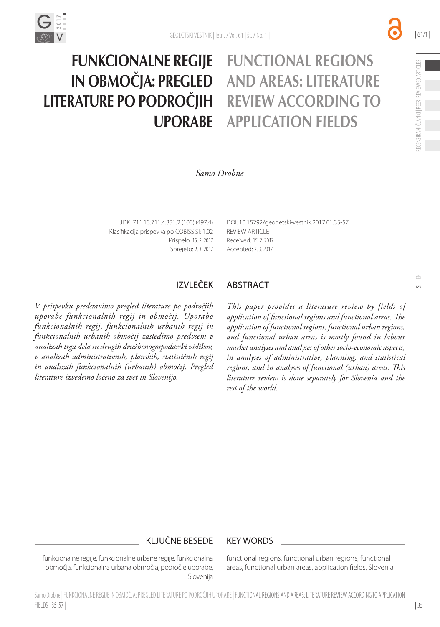

#### FUNCTIONAL REGIONS AND AREAS: LITERATURE REVIEW ACCORDING TO APPLICATION FIELDS FUNKCIONALNE REGIJE IN OBMOČJA: PREGLED LITERATURE PO PODROČJIH UPORABE

*Samo Drobne*

UDK: 711.13:711.4:331.2:(100):(497.4) Klasifikacija prispevka po COBISS.SI: 1.02 Prispelo: 15. 2. 2017 Sprejeto: 2. 3. 2017 [DOI:](http://dx.doi.org/10.15292/geodetski-vestnik.2014.02.231-242) [10.15292/geodetski-vestnik.2017.01.35-](http://dx.doi.org/10.15292/geodetski-vestnik.2015.04.697-708)57 **REVIEW ARTICLE** Received: 15. 2. 2017 Accepted: 2. 3. 2017

*V prispevku predstavimo pregled literature po področjih uporabe funkcionalnih regij in območij. Uporabo funkcionalnih regij, funkcionalnih urbanih regij in funkcionalnih urbanih območij zasledimo predvsem v analizah trga dela in drugih družbenogospodarski vidikov, v analizah administrativnih, planskih, statističnih regij in analizah funkcionalnih (urbanih) območij. Pregled literature izvedemo ločeno za svet in Slovenijo.*

#### IZVLEČEK ABSTRACT

*This paper provides a literature review by fields of application of functional regions and functional areas. The application of functional regions, functional urban regions, and functional urban areas is mostly found in labour market analyses and analyses of other socio-economic aspects, in analyses of administrative, planning, and statistical regions, and in analyses of functional (urban) areas. This literature review is done separately for Slovenia and the rest of the world.*

### KLJUČNE BESEDE KEY WORDS

funkcionalne regije, funkcionalne urbane regije, funkcionalna območja, funkcionalna urbana območja, področje uporabe, Slovenija

functional regions, functional urban regions, functional areas, functional urban areas, application fields, Slovenia  $\frac{6}{5}$ 

| 35 |

| 61/1 |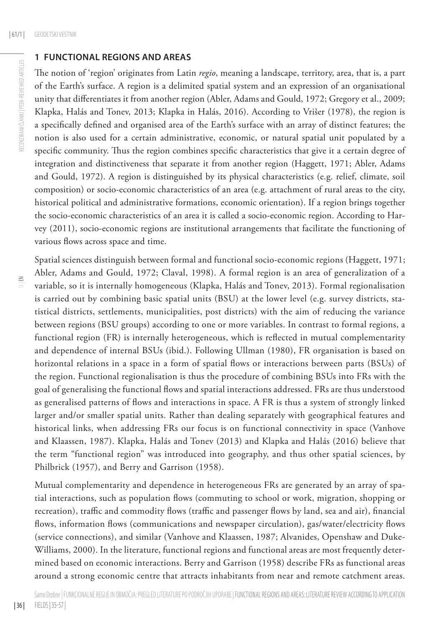#### **1 FUNCTIONAL REGIONS AND AREAS**

The notion of 'region' originates from Latin *regio*, meaning a landscape, territory, area, that is, a part of the Earth's surface. A region is a delimited spatial system and an expression of an organisational unity that differentiates it from another region (Abler, Adams and Gould, 1972; Gregory et al., 2009; Klapka, Halás and Tonev, 2013; Klapka in Halás, 2016). According to Vrišer (1978), the region is a specifically defined and organised area of the Earth's surface with an array of distinct features; the notion is also used for a certain administrative, economic, or natural spatial unit populated by a specific community. Thus the region combines specific characteristics that give it a certain degree of integration and distinctiveness that separate it from another region (Haggett, 1971; Abler, Adams and Gould, 1972). A region is distinguished by its physical characteristics (e.g. relief, climate, soil composition) or socio-economic characteristics of an area (e.g. attachment of rural areas to the city, historical political and administrative formations, economic orientation). If a region brings together the socio-economic characteristics of an area it is called a socio-economic region. According to Harvey (2011), socio-economic regions are institutional arrangements that facilitate the functioning of various flows across space and time.

Spatial sciences distinguish between formal and functional socio-economic regions (Haggett, 1971; Abler, Adams and Gould, 1972; Claval, 1998). A formal region is an area of generalization of a variable, so it is internally homogeneous (Klapka, Halás and Tonev, 2013). Formal regionalisation is carried out by combining basic spatial units (BSU) at the lower level (e.g. survey districts, statistical districts, settlements, municipalities, post districts) with the aim of reducing the variance between regions (BSU groups) according to one or more variables. In contrast to formal regions, a functional region (FR) is internally heterogeneous, which is reflected in mutual complementarity and dependence of internal BSUs (ibid.). Following Ullman (1980), FR organisation is based on horizontal relations in a space in a form of spatial flows or interactions between parts (BSUs) of the region. Functional regionalisation is thus the procedure of combining BSUs into FRs with the goal of generalising the functional flows and spatial interactions addressed. FRs are thus understood as generalised patterns of flows and interactions in space. A FR is thus a system of strongly linked larger and/or smaller spatial units. Rather than dealing separately with geographical features and historical links, when addressing FRs our focus is on functional connectivity in space (Vanhove and Klaassen, 1987). Klapka, Halás and Tonev (2013) and Klapka and Halás (2016) believe that the term "functional region" was introduced into geography, and thus other spatial sciences, by Philbrick (1957), and Berry and Garrison (1958).

Mutual complementarity and dependence in heterogeneous FRs are generated by an array of spatial interactions, such as population flows (commuting to school or work, migration, shopping or recreation), traffic and commodity flows (traffic and passenger flows by land, sea and air), financial flows, information flows (communications and newspaper circulation), gas/water/electricity flows (service connections), and similar (Vanhove and Klaassen, 1987; Alvanides, Openshaw and Duke-Williams, 2000). In the literature, functional regions and functional areas are most frequently determined based on economic interactions. Berry and Garrison (1958) describe FRs as functional areas around a strong economic centre that attracts inhabitants from near and remote catchment areas.

 $\leq$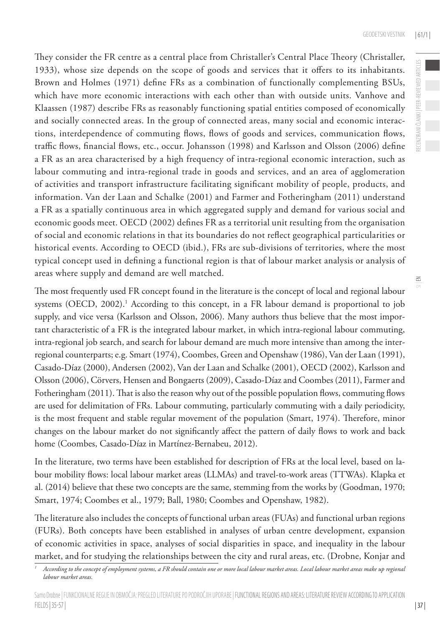They consider the FR centre as a central place from Christaller's Central Place Theory (Christaller, 1933), whose size depends on the scope of goods and services that it offers to its inhabitants. Brown and Holmes (1971) define FRs as a combination of functionally complementing BSUs, which have more economic interactions with each other than with outside units. Vanhove and Klaassen (1987) describe FRs as reasonably functioning spatial entities composed of economically and socially connected areas. In the group of connected areas, many social and economic interactions, interdependence of commuting flows, flows of goods and services, communication flows, traffic flows, financial flows, etc., occur. Johansson (1998) and Karlsson and Olsson (2006) define a FR as an area characterised by a high frequency of intra-regional economic interaction, such as labour commuting and intra-regional trade in goods and services, and an area of agglomeration of activities and transport infrastructure facilitating significant mobility of people, products, and information. Van der Laan and Schalke (2001) and Farmer and Fotheringham (2011) understand a FR as a spatially continuous area in which aggregated supply and demand for various social and economic goods meet. OECD (2002) defines FR as a territorial unit resulting from the organisation of social and economic relations in that its boundaries do not reflect geographical particularities or historical events. According to OECD (ibid.), FRs are sub-divisions of territories, where the most typical concept used in defining a functional region is that of labour market analysis or analysis of areas where supply and demand are well matched.

The most frequently used FR concept found in the literature is the concept of local and regional labour systems (OECD, 2002).<sup>1</sup> According to this concept, in a FR labour demand is proportional to job supply, and vice versa (Karlsson and Olsson, 2006). Many authors thus believe that the most important characteristic of a FR is the integrated labour market, in which intra-regional labour commuting, intra-regional job search, and search for labour demand are much more intensive than among the interregional counterparts; e.g. Smart (1974), Coombes, Green and Openshaw (1986), Van der Laan (1991), Casado-Díaz (2000), Andersen (2002), Van der Laan and Schalke (2001), OECD (2002), Karlsson and Olsson (2006), Cörvers, Hensen and Bongaerts (2009), Casado-Díaz and Coombes (2011), Farmer and Fotheringham (2011). That is also the reason why out of the possible population flows, commuting flows are used for delimitation of FRs. Labour commuting, particularly commuting with a daily periodicity, is the most frequent and stable regular movement of the population (Smart, 1974). Therefore, minor changes on the labour market do not significantly affect the pattern of daily flows to work and back home (Coombes, Casado-Díaz in Martínez-Bernabeu, 2012).

In the literature, two terms have been established for description of FRs at the local level, based on labour mobility flows: local labour market areas (LLMAs) and travel-to-work areas (TTWAs). Klapka et al. (2014) believe that these two concepts are the same, stemming from the works by (Goodman, 1970; Smart, 1974; Coombes et al., 1979; Ball, 1980; Coombes and Openshaw, 1982).

The literature also includes the concepts of functional urban areas (FUAs) and functional urban regions (FURs). Both concepts have been established in analyses of urban centre development, expansion of economic activities in space, analyses of social disparities in space, and inequality in the labour market, and for studying the relationships between the city and rural areas, etc. (Drobne, Konjar and  $\leq$ 

*<sup>1</sup> According to the concept of employment systems, a FR should contain one or more local labour market areas. Local labour market areas make up regional labour market areas.*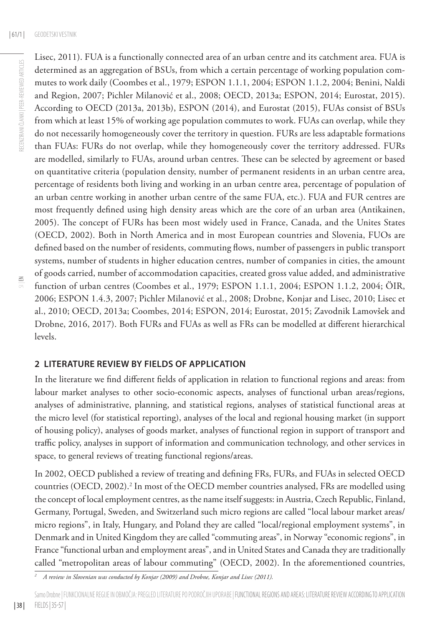Lisec, 2011). FUA is a functionally connected area of an urban centre and its catchment area. FUA is determined as an aggregation of BSUs, from which a certain percentage of working population commutes to work daily (Coombes et al., 1979; ESPON 1.1.1, 2004; ESPON 1.1.2, 2004; Benini, Naldi and Region, 2007; Pichler Milanović et al., 2008; OECD, 2013a; ESPON, 2014; Eurostat, 2015). According to OECD (2013a, 2013b), ESPON (2014), and Eurostat (2015), FUAs consist of BSUs from which at least 15% of working age population commutes to work. FUAs can overlap, while they do not necessarily homogeneously cover the territory in question. FURs are less adaptable formations than FUAs: FURs do not overlap, while they homogeneously cover the territory addressed. FURs are modelled, similarly to FUAs, around urban centres. These can be selected by agreement or based on quantitative criteria (population density, number of permanent residents in an urban centre area, percentage of residents both living and working in an urban centre area, percentage of population of an urban centre working in another urban centre of the same FUA, etc.). FUA and FUR centres are most frequently defined using high density areas which are the core of an urban area (Antikainen, 2005). The concept of FURs has been most widely used in France, Canada, and the Unites States (OECD, 2002). Both in North America and in most European countries and Slovenia, FUOs are defined based on the number of residents, commuting flows, number of passengers in public transport systems, number of students in higher education centres, number of companies in cities, the amount of goods carried, number of accommodation capacities, created gross value added, and administrative function of urban centres (Coombes et al., 1979; ESPON 1.1.1, 2004; ESPON 1.1.2, 2004; ÖIR, 2006; ESPON 1.4.3, 2007; Pichler Milanović et al., 2008; Drobne, Konjar and Lisec, 2010; Lisec et al., 2010; OECD, 2013a; Coombes, 2014; ESPON, 2014; Eurostat, 2015; Zavodnik Lamovšek and Drobne, 2016, 2017). Both FURs and FUAs as well as FRs can be modelled at different hierarchical levels.

### **2 LITERATURE REVIEW BY FIELDS OF APPLICATION**

In the literature we find different fields of application in relation to functional regions and areas: from labour market analyses to other socio-economic aspects, analyses of functional urban areas/regions, analyses of administrative, planning, and statistical regions, analyses of statistical functional areas at the micro level (for statistical reporting), analyses of the local and regional housing market (in support of housing policy), analyses of goods market, analyses of functional region in support of transport and traffic policy, analyses in support of information and communication technology, and other services in space, to general reviews of treating functional regions/areas.

In 2002, OECD published a review of treating and defining FRs, FURs, and FUAs in selected OECD countries (OECD, 2002).<sup>2</sup> In most of the OECD member countries analysed, FRs are modelled using the concept of local employment centres, as the name itself suggests: in Austria, Czech Republic, Finland, Germany, Portugal, Sweden, and Switzerland such micro regions are called "local labour market areas/ micro regions", in Italy, Hungary, and Poland they are called "local/regional employment systems", in Denmark and in United Kingdom they are called "commuting areas", in Norway "economic regions", in France "functional urban and employment areas", and in United States and Canada they are traditionally called "metropolitan areas of labour commuting" (OECD, 2002). In the aforementioned countries,

*<sup>2</sup> A review in Slovenian was conducted by Konjar (2009) and Drobne, Konjar and Lisec (2011).*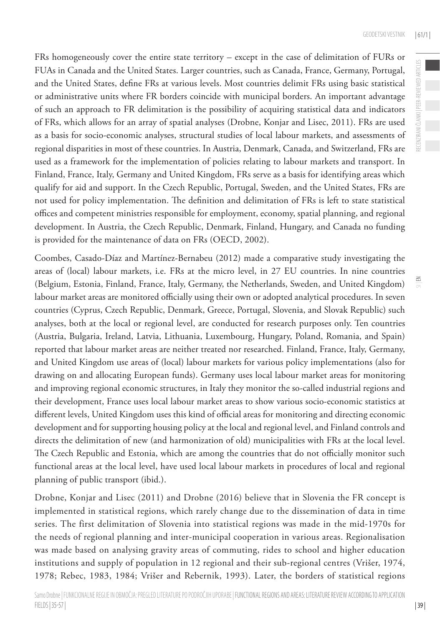FRs homogeneously cover the entire state territory – except in the case of delimitation of FURs or FUAs in Canada and the United States. Larger countries, such as Canada, France, Germany, Portugal, and the United States, define FRs at various levels. Most countries delimit FRs using basic statistical or administrative units where FR borders coincide with municipal borders. An important advantage of such an approach to FR delimitation is the possibility of acquiring statistical data and indicators of FRs, which allows for an array of spatial analyses (Drobne, Konjar and Lisec, 2011). FRs are used as a basis for socio-economic analyses, structural studies of local labour markets, and assessments of regional disparities in most of these countries. In Austria, Denmark, Canada, and Switzerland, FRs are used as a framework for the implementation of policies relating to labour markets and transport. In Finland, France, Italy, Germany and United Kingdom, FRs serve as a basis for identifying areas which qualify for aid and support. In the Czech Republic, Portugal, Sweden, and the United States, FRs are not used for policy implementation. The definition and delimitation of FRs is left to state statistical offices and competent ministries responsible for employment, economy, spatial planning, and regional development. In Austria, the Czech Republic, Denmark, Finland, Hungary, and Canada no funding is provided for the maintenance of data on FRs (OECD, 2002).

Coombes, Casado-Díaz and Martínez-Bernabeu (2012) made a comparative study investigating the areas of (local) labour markets, i.e. FRs at the micro level, in 27 EU countries. In nine countries (Belgium, Estonia, Finland, France, Italy, Germany, the Netherlands, Sweden, and United Kingdom) labour market areas are monitored officially using their own or adopted analytical procedures. In seven countries (Cyprus, Czech Republic, Denmark, Greece, Portugal, Slovenia, and Slovak Republic) such analyses, both at the local or regional level, are conducted for research purposes only. Ten countries (Austria, Bulgaria, Ireland, Latvia, Lithuania, Luxembourg, Hungary, Poland, Romania, and Spain) reported that labour market areas are neither treated nor researched. Finland, France, Italy, Germany, and United Kingdom use areas of (local) labour markets for various policy implementations (also for drawing on and allocating European funds). Germany uses local labour market areas for monitoring and improving regional economic structures, in Italy they monitor the so-called industrial regions and their development, France uses local labour market areas to show various socio-economic statistics at different levels, United Kingdom uses this kind of official areas for monitoring and directing economic development and for supporting housing policy at the local and regional level, and Finland controls and directs the delimitation of new (and harmonization of old) municipalities with FRs at the local level. The Czech Republic and Estonia, which are among the countries that do not officially monitor such functional areas at the local level, have used local labour markets in procedures of local and regional planning of public transport (ibid.).

Drobne, Konjar and Lisec (2011) and Drobne (2016) believe that in Slovenia the FR concept is implemented in statistical regions, which rarely change due to the dissemination of data in time series. The first delimitation of Slovenia into statistical regions was made in the mid-1970s for the needs of regional planning and inter-municipal cooperation in various areas. Regionalisation was made based on analysing gravity areas of commuting, rides to school and higher education institutions and supply of population in 12 regional and their sub-regional centres (Vrišer, 1974, 1978; Rebec, 1983, 1984; Vrišer and Rebernik, 1993). Later, the borders of statistical regions  $\leq$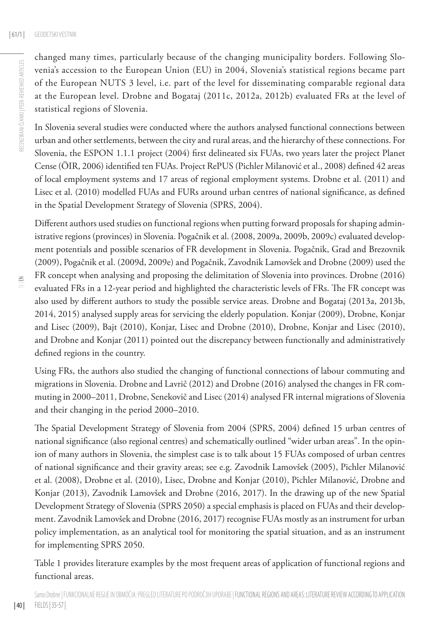| 40 |

changed many times, particularly because of the changing municipality borders. Following Slovenia's accession to the European Union (EU) in 2004, Slovenia's statistical regions became part of the European NUTS 3 level, i.e. part of the level for disseminating comparable regional data at the European level. Drobne and Bogataj (2011c, 2012a, 2012b) evaluated FRs at the level of statistical regions of Slovenia.

In Slovenia several studies were conducted where the authors analysed functional connections between urban and other settlements, between the city and rural areas, and the hierarchy of these connections. For Slovenia, the ESPON 1.1.1 project (2004) first delineated six FUAs, two years later the project Planet Cense (ÖIR, 2006) identified ten FUAs. Project RePUS (Pichler Milanović et al., 2008) defined 42 areas of local employment systems and 17 areas of regional employment systems. Drobne et al. (2011) and Lisec et al. (2010) modelled FUAs and FURs around urban centres of national significance, as defined in the Spatial Development Strategy of Slovenia (SPRS, 2004).

Different authors used studies on functional regions when putting forward proposals for shaping administrative regions (provinces) in Slovenia. Pogačnik et al. (2008, 2009a, 2009b, 2009c) evaluated development potentials and possible scenarios of FR development in Slovenia. Pogačnik, Grad and Brezovnik (2009), Pogačnik et al. (2009d, 2009e) and Pogačnik, Zavodnik Lamovšek and Drobne (2009) used the FR concept when analysing and proposing the delimitation of Slovenia into provinces. Drobne (2016) evaluated FRs in a 12-year period and highlighted the characteristic levels of FRs. The FR concept was also used by different authors to study the possible service areas. Drobne and Bogataj (2013a, 2013b, 2014, 2015) analysed supply areas for servicing the elderly population. Konjar (2009), Drobne, Konjar and Lisec (2009), Bajt (2010), Konjar, Lisec and Drobne (2010), Drobne, Konjar and Lisec (2010), and Drobne and Konjar (2011) pointed out the discrepancy between functionally and administratively defined regions in the country.

Using FRs, the authors also studied the changing of functional connections of labour commuting and migrations in Slovenia. Drobne and Lavrič (2012) and Drobne (2016) analysed the changes in FR commuting in 2000–2011, Drobne, Senekovič and Lisec (2014) analysed FR internal migrations of Slovenia and their changing in the period 2000–2010.

The Spatial Development Strategy of Slovenia from 2004 (SPRS, 2004) defined 15 urban centres of national significance (also regional centres) and schematically outlined "wider urban areas". In the opinion of many authors in Slovenia, the simplest case is to talk about 15 FUAs composed of urban centres of national significance and their gravity areas; see e.g. Zavodnik Lamovšek (2005), Pichler Milanović et al. (2008), Drobne et al. (2010), Lisec, Drobne and Konjar (2010), Pichler Milanović, Drobne and Konjar (2013), Zavodnik Lamovšek and Drobne (2016, 2017). In the drawing up of the new Spatial Development Strategy of Slovenia (SPRS 2050) a special emphasis is placed on FUAs and their development. Zavodnik Lamovšek and Drobne (2016, 2017) recognise FUAs mostly as an instrument for urban policy implementation, as an analytical tool for monitoring the spatial situation, and as an instrument for implementing SPRS 2050.

Table 1 provides literature examples by the most frequent areas of application of functional regions and functional areas.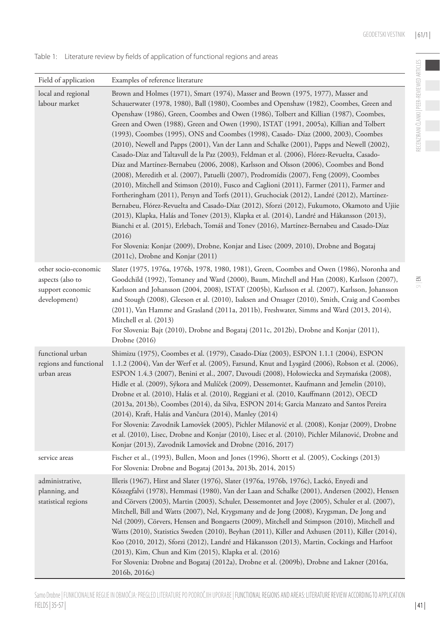$\frac{8}{10}$ 

| Field of application                                                         | Examples of reference literature                                                                                                                                                                                                                                                                                                                                                                                                                                                                                                                                                                                                                                                                                                                                                                                                                                                                                                                                                                                                                                                                                                                                                                                                                                                                                                                                                                                                                                             |
|------------------------------------------------------------------------------|------------------------------------------------------------------------------------------------------------------------------------------------------------------------------------------------------------------------------------------------------------------------------------------------------------------------------------------------------------------------------------------------------------------------------------------------------------------------------------------------------------------------------------------------------------------------------------------------------------------------------------------------------------------------------------------------------------------------------------------------------------------------------------------------------------------------------------------------------------------------------------------------------------------------------------------------------------------------------------------------------------------------------------------------------------------------------------------------------------------------------------------------------------------------------------------------------------------------------------------------------------------------------------------------------------------------------------------------------------------------------------------------------------------------------------------------------------------------------|
| local and regional<br>labour market                                          | Brown and Holmes (1971), Smart (1974), Masser and Brown (1975, 1977), Masser and<br>Schauerwater (1978, 1980), Ball (1980), Coombes and Openshaw (1982), Coombes, Green and<br>Openshaw (1986), Green, Coombes and Owen (1986), Tolbert and Killian (1987), Coombes,<br>Green and Owen (1988), Green and Owen (1990), ISTAT (1991, 2005a), Killian and Tolbert<br>(1993), Coombes (1995), ONS and Coombes (1998), Casado- Díaz (2000, 2003), Coombes<br>(2010), Newell and Papps (2001), Van der Lann and Schalke (2001), Papps and Newell (2002),<br>Casado-Díaz and Taltavull de la Paz (2003), Feldman et al. (2006), Flórez-Revuelta, Casado-<br>Díaz and Martínez-Bernabeu (2006, 2008), Karlsson and Olsson (2006), Coombes and Bond<br>(2008), Meredith et al. (2007), Patuelli (2007), Prodromídis (2007), Feng (2009), Coombes<br>(2010), Mitchell and Stimson (2010), Fusco and Caglioni (2011), Farmer (2011), Farmer and<br>Fortheringham (2011), Persyn and Torfs (2011), Gruchociak (2012), Landré (2012), Martínez-<br>Bernabeu, Flórez-Revuelta and Casado-Díaz (2012), Sforzi (2012), Fukumoto, Okamoto and Ujiie<br>(2013), Klapka, Halás and Tonev (2013), Klapka et al. (2014), Landré and Håkansson (2013),<br>Bianchi et al. (2015), Erlebach, Tomáš and Tonev (2016), Martínez-Bernabeu and Casado-Díaz<br>(2016)<br>For Slovenia: Konjar (2009), Drobne, Konjar and Lisec (2009, 2010), Drobne and Bogataj<br>$(2011c)$ , Drobne and Konjar $(2011)$ |
| other socio-economic<br>aspects (also to<br>support economic<br>development) | Slater (1975, 1976a, 1976b, 1978, 1980, 1981), Green, Coombes and Owen (1986), Noronha and<br>Goodchild (1992), Tomaney and Ward (2000), Baum, Mitchell and Han (2008), Karlsson (2007),<br>Karlsson and Johansson (2004, 2008), ISTAT (2005b), Karlsson et al. (2007), Karlsson, Johansson<br>and Stough (2008), Gleeson et al. (2010), Isaksen and Onsager (2010), Smith, Craig and Coombes<br>(2011), Van Hamme and Grasland (2011a, 2011b), Freshwater, Simms and Ward (2013, 2014),<br>Mitchell et al. (2013)<br>For Slovenia: Bajt (2010), Drobne and Bogataj (2011c, 2012b), Drobne and Konjar (2011),<br>Drobne (2016)                                                                                                                                                                                                                                                                                                                                                                                                                                                                                                                                                                                                                                                                                                                                                                                                                                               |
| functional urban<br>regions and functional<br>urban areas                    | Shimizu (1975), Coombes et al. (1979), Casado-Díaz (2003), ESPON 1.1.1 (2004), ESPON<br>1.1.2 (2004), Van der Werf et al. (2005), Farsund, Knut and Lysgård (2006), Robson et al. (2006),<br>ESPON 1.4.3 (2007), Benini et al., 2007, Davoudi (2008), Hołowiecka and Szymańska (2008),<br>Hidle et al. (2009), Sýkora and Mulíček (2009), Dessemontet, Kaufmann and Jemelin (2010),<br>Drobne et al. (2010), Halás et al. (2010), Reggiani et al. (2010, Kauffmann (2012), OECD<br>(2013a, 2013b), Coombes (2014), da Silva, ESPON 2014; Garcia Manzato and Santos Pereira<br>(2014), Kraft, Halás and Vančura (2014), Manley (2014)<br>For Slovenia: Zavodnik Lamovšek (2005), Pichler Milanović et al. (2008), Konjar (2009), Drobne<br>et al. (2010), Lisec, Drobne and Konjar (2010), Lisec et al. (2010), Pichler Milanović, Drobne and<br>Konjar (2013), Zavodnik Lamovšek and Drobne (2016, 2017)                                                                                                                                                                                                                                                                                                                                                                                                                                                                                                                                                                     |
| service areas                                                                | Fischer et al., (1993), Bullen, Moon and Jones (1996), Shortt et al. (2005), Cockings (2013)<br>For Slovenia: Drobne and Bogataj (2013a, 2013b, 2014, 2015)                                                                                                                                                                                                                                                                                                                                                                                                                                                                                                                                                                                                                                                                                                                                                                                                                                                                                                                                                                                                                                                                                                                                                                                                                                                                                                                  |
| administrative,<br>planning, and<br>statistical regions                      | Illeris (1967), Hirst and Slater (1976), Slater (1976a, 1976b, 1976c), Lackó, Enyedi and<br>Kőszegfalvi (1978), Hemmasi (1980), Van der Laan and Schalke (2001), Andersen (2002), Hensen<br>and Cörvers (2003), Martin (2003), Schuler, Dessemontet and Joye (2005), Schuler et al. (2007),<br>Mitchell, Bill and Watts (2007), Nel, Krygsmany and de Jong (2008), Krygsman, De Jong and<br>Nel (2009), Cörvers, Hensen and Bongaerts (2009), Mitchell and Stimpson (2010), Mitchell and<br>Watts (2010), Statistics Sweden (2010), Beyhan (2011), Killer and Axhusen (2011), Killer (2014),<br>Koo (2010, 2012), Sforzi (2012), Landré and Håkansson (2013), Martin, Cockings and Harfoot<br>(2013), Kim, Chun and Kim (2015), Klapka et al. (2016)<br>For Slovenia: Drobne and Bogataj (2012a), Drobne et al. (2009b), Drobne and Lakner (2016a,<br>2016b, 2016c)                                                                                                                                                                                                                                                                                                                                                                                                                                                                                                                                                                                                          |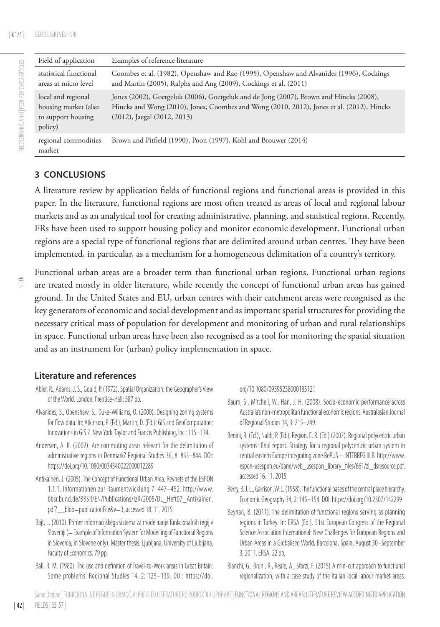RECENZIRANI ČLANKI | PEER-REVIEWED ARTICLES

RECENZIRANI ČLANKI I PEER-REVIEWED ARTICLES

| Field of application                                                        | Examples of reference literature                                                                                                                                                                                        |
|-----------------------------------------------------------------------------|-------------------------------------------------------------------------------------------------------------------------------------------------------------------------------------------------------------------------|
| statistical functional<br>areas at micro level                              | Coombes et al. (1982), Openshaw and Rao (1995), Openshaw and Alvanides (1996), Cockings<br>and Martin (2005), Ralphs and Ang (2009), Cockings et al. (2011)                                                             |
| local and regional<br>housing market (also<br>to support housing<br>policy) | Jones (2002), Goetgeluk (2006), Goetgeluk and de Jong (2007), Brown and Hincks (2008),<br>Hincks and Wong (2010), Jones, Coombes and Wong (2010, 2012), Jones et al. (2012), Hincks<br>$(2012)$ , Jaegal $(2012, 2013)$ |
| regional commodities<br>market                                              | Brown and Pitfield (1990), Poon (1997), Kohl and Brouwer (2014)                                                                                                                                                         |

### **3 CONCLUSIONS**

A literature review by application fields of functional regions and functional areas is provided in this paper. In the literature, functional regions are most often treated as areas of local and regional labour markets and as an analytical tool for creating administrative, planning, and statistical regions. Recently, FRs have been used to support housing policy and monitor economic development. Functional urban regions are a special type of functional regions that are delimited around urban centres. They have been implemented, in particular, as a mechanism for a homogeneous delimitation of a country's territory.

Functional urban areas are a broader term than functional urban regions. Functional urban regions are treated mostly in older literature, while recently the concept of functional urban areas has gained ground. In the United States and EU, urban centres with their catchment areas were recognised as the key generators of economic and social development and as important spatial structures for providing the necessary critical mass of population for development and monitoring of urban and rural relationships in space. Functional urban areas have been also recognised as a tool for monitoring the spatial situation and as an instrument for (urban) policy implementation in space.

#### **Literature and references**

- Abler, R., Adams, J. S., Gould, P. (1972). Spatial Organization: the Geographer's View of the World. London, Prentice-Hall: 587 pp.
- Alvanides, S., Openshaw, S., Duke-Williams, O. (2000). Designing zoning systems for flow data. In: Atkinson, P. (Ed.), Martin, D. (Ed.): GIS and GeoComputation: Innovations in GIS 7. New York: Taylor and Francis Publishing, Inc.: 115–134.
- Andersen, A. K. (2002). Are commuting areas relevant for the delimitation of administrative regions in Denmark? Regional Studies 36, 8: 833–844. DOI: https://doi.org/10.1080/0034340022000012289
- Antikainen, J. (2005). The Concept of Functional Urban Area. Revnets of the ESPON 1.1.1. Informationen zur Raumentwicklung 7: 447–452. http://www. bbsr.bund.de/BBSR/EN/Publications/IzR/2005/DL\_Heft07\_Antikainen. pdf?\_\_blob=publicationFile&v=3, accessed 18. 11. 2015.
- Bajt, L. (2010). Primer informacijskega sistema za modeliranje funkcionalnih regij v Sloveniji (= Example of Information System for Modelling of Functional Regions in Slovenia; in Slovene only). Master thesis. Ljubljana, University of Ljubljana, Faculty of Economics: 79 pp.
- Ball, R. M. (1980). The use and definition of Travel-to-Work areas in Great Britain: Some problems. Regional Studies 14, 2: 125–139. DOI: https://doi.

#### org/10.1080/09595238000185121

- Baum, S., Mitchell, W., Han, J. H. (2008). Socio-economic performance across Australia's non-metropolitan functional economic regions. Australasian Journal of Regional Studies 14, 3: 215–249.
- Benini, R. (Ed.), Naldi, P. (Ed.), Region, E. R. (Ed.) (2007). Regional polycentric urban systems: final report. Strategy for a regional polycentric urban system in central eastern Europe integrating zone RePUS – INTERREG III B. http://www. espon-usespon.eu/dane/web\_usespon\_library\_files/661/zl\_dsresource.pdf, accessed 16. 11. 2015.
- Berry, B. J. L., Garrison, W. L. (1958). The functional bases of the central place hierarchy. Economic Geography 34, 2: 145–154. DOI: https://doi.org/10.2307/142299
- Beyhan, B. (2011). The delimitation of functional regions serving as planning regions in Turkey. In: ERSA (Ed.). 51st European Congress of the Regional Science Association International: New Challenges for European Regions and Urban Areas in a Globalised World, Barcelona, Spain, August 30–September 3, 2011. ERSA: 22 pp.
- Bianchi, G., Bruni, R., Reale, A., Sforzi, F. (2015) A min-cut approach to functional regionalization, with a case study of the Italian local labour market areas.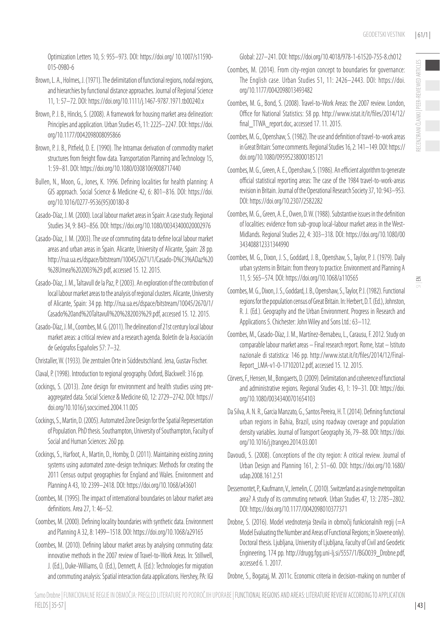Optimization Letters 10, 5: 955–973. DOI: https://doi.org/ 10.1007/s11590- 015-0980-6

Brown, L. A., Holmes, J. (1971). The delimitation of functional regions, nodal regions, and hierarchies by functional distance approaches. Journal of Regional Science 11, 1: 57–72. DOI: https://doi.org/10.1111/j.1467-9787.1971.tb00240.x

- Brown, P. J. B., Hincks, S. (2008). A framework for housing market area delineation: Principles and application. Urban Studies 45, 11: 2225–2247. DOI: https://doi. org/10.1177/0042098008095866
- Brown, P. J. B., Pitfield, D. E. (1990). The Intramax derivation of commodity market structures from freight flow data. Transportation Planning and Technology 15, 1: 59–81. DOI: https://doi.org/10.1080/03081069008717440
- Bullen, N., Moon, G., Jones, K. 1996. Defining localities for health planning: A GIS approach. Social Science & Medicine 42, 6: 801–816. DOI: https://doi. org/10.1016/0277-9536(95)00180-8
- Casado-Díaz, J. M. (2000). Local labour market areas in Spain: A case study. Regional Studies 34, 9: 843–856. DOI: https://doi.org/10.1080/00343400020002976
- Casado-Díaz, J. M. (2003). The use of commuting data to define local labour market areas and urban areas in Spain. Alicante, University of Alicante, Spain: 28 pp. http://rua.ua.es/dspace/bitstream/10045/2671/1/Casado-D%C3%ADaz%20 %28Umea%202003%29.pdf, accessed 15. 12. 2015.
- Casado-Díaz, J. M., Taltavull de la Paz, P. (2003). An exploration of the contribution of local labour market areas to the analysis of regional clusters. Alicante, University of Alicante, Spain: 34 pp. http://rua.ua.es/dspace/bitstream/10045/2670/1/ Casado%20and%20Taltavull%20%282003%29.pdf, accessed 15. 12. 2015.
- Casado-Díaz, J. M., Coombes, M. G. (2011). The delineation of 21st century local labour market areas: a critical review and a research agenda. Boletín de la Asociación de Geógrafos Españoles 57: 7–32.
- Christaller, W. (1933). Die zentralen Orte in Süddeutschland. Jena, Gustav Fischer.
- Claval, P. (1998). Introduction to regional geography. Oxford, Blackwell: 316 pp.
- Cockings, S. (2013). Zone design for environment and health studies using preaggregated data. Social Science & Medicine 60, 12: 2729–2742. DOI: https:// doi.org/10.1016/j.socscimed.2004.11.005
- Cockings, S., Martin, D. (2005). Automated Zone Design for the Spatial Representation of Population. PhD thesis. Southampton, University of Southampton, Faculty of Social and Human Sciences: 260 pp.
- Cockings, S., Harfoot, A., Martin, D., Hornby, D. (2011). Maintaining existing zoning systems using automated zone-design techniques: Methods for creating the 2011 Census output geographies for England and Wales. Environment and Planning A 43, 10: 2399–2418. DOI: https://doi.org/10.1068/a43601
- Coombes, M. (1995). The impact of international boundaries on labour market area definitions. Area 27, 1: 46–52.
- Coombes, M. (2000). Defining locality boundaries with synthetic data. Environment and Planning A 32, 8: 1499–1518. DOI: https://doi.org/10.1068/a29165
- Coombes, M. (2010). Defining labour market areas by analysing commuting data: innovative methods in the 2007 review of Travel-to-Work Areas. In: Stillwell, J. (Ed.), Duke-Williams, O. (Ed.), Dennett, A. (Ed.): Technologies for migration and commuting analysis: Spatial interaction data applications. Hershey, PA: IGI

Global: 227–241. DOI: https://doi.org/10.4018/978-1-61520-755-8.ch012

- Coombes, M. (2014). From city-region concept to boundaries for governance: The English case. Urban Studies 51, 11: 2426–2443. DOI: https://doi. org/10.1177/0042098013493482
- Coombes, M. G., Bond, S. (2008). Travel-to-Work Areas: the 2007 review. London, Office for National Statistics: 58 pp. http://www.istat.it/it/files/2014/12/ final\_TTWA\_report.doc, accessed 17, 11, 2015.
- Coombes, M. G., Openshaw, S. (1982). The use and definition of travel-to-work areas in Great Britain: Some comments. Regional Studies 16, 2: 141–149. DOI: https:// doi.org/10.1080/09595238000185121
- Coombes, M. G., Green, A. E., Openshaw, S. (1986). An efficient algorithm to generate official statistical reporting areas: The case of the 1984 travel-to-work-areas revision in Britain. Journal of the Operational Research Society 37, 10: 943–953. DOI: https://doi.org/10.2307/2582282
- Coombes, M. G., Green, A. E., Owen, D. W. (1988). Substantive issues in the definition of localities: evidence from sub-group local-labour market areas in the West-Midlands. Regional Studies 22, 4: 303–318. DOI: https://doi.org/10.1080/00 343408812331344990
- Coombes, M. G., Dixon, J. S., Goddard, J. B., Openshaw, S., Taylor, P. J. (1979). Daily urban systems in Britain: from theory to practice. Environment and Planning A 11, 5: 565–574. DOI: https://doi.org/10.1068/a110565
- Coombes, M. G., Dixon, J. S., Goddard, J. B., Openshaw, S., Taylor, P. J. (1982). Functional regions for the population census of Great Britain. In: Herbert, D. T. (Ed.), Johnston, R. J. (Ed.). Geography and the Urban Environment. Progress in Research and Applications 5. Chichester: John Wiley and Sons Ltd.: 63–112.
- Coombes, M., Casado-Díaz, J. M., Martínez-Bernabeu, L., Carausu, F. 2012. Study on comparable labour market areas – Final research report. Rome, Istat – Istituto nazionale di statistica: 146 pp. http://www.istat.it/it/files/2014/12/Final-Report\_LMA-v1-0-17102012.pdf, accessed 15. 12. 2015.
- Cörvers, F., Hensen, M., Bongaerts, D. (2009). Delimitation and coherence of functional and administrative regions. Regional Studies 43, 1: 19–31. DOI: https://doi. org/10.1080/00343400701654103
- Da Silva, A. N. R., Garcia Manzato, G., Santos Pereira, H. T. (2014). Defining functional urban regions in Bahia, Brazil, using roadway coverage and population density variables. Journal of Transport Geography 36, 79–88. DOI: https://doi. org/10.1016/j.jtrangeo.2014.03.001
- Davoudi, S. (2008). Conceptions of the city region: A critical review. Journal of Urban Design and Planning 161, 2: 51–60. DOI: https://doi.org/10.1680/ udap.2008.161.2.51
- Dessemontet, P., Kaufmann, V., Jemelin, C. (2010). Switzerland as a single metropolitan area? A study of its commuting network. Urban Studies 47, 13: 2785–2802. DOI: https://doi.org/10.1177/0042098010377371
- Drobne, S. (2016). Model vrednotenja števila in območij funkcionalnih regij (=A Model Evaluating the Number and Areas of Functional Regions; in Slovene only). Doctoral thesis. Ljubljana, University of Ljubljana, Faculty of Civil and Geodetic Engineering, 174 pp. http://drugg.fgg.uni-lj.si/5557/1/BGO039\_Drobne.pdf, accessed 6. 1. 2017.
- Drobne, S., Bogataj, M. 2011c. Economic criteria in decision-making on number of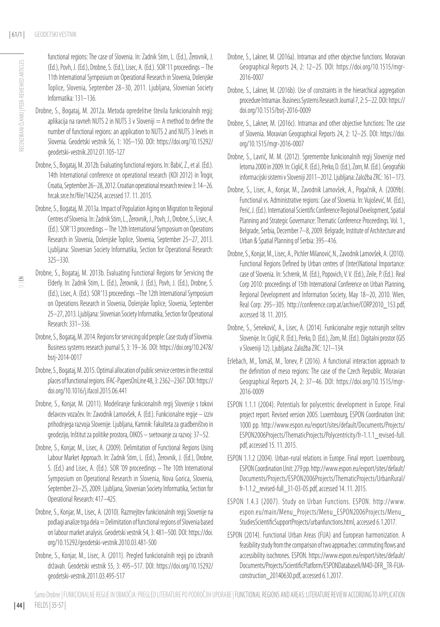functional regions: The case of Slovenia. In: Zadnik Stirn, L. (Ed.), Žerovnik, J. (Ed.), Povh, J. (Ed.), Drobne, S. (Ed.), Lisec, A. (Ed.). SOR '11 proceedings – The 11th International Symposium on Operational Research in Slovenia, Dolenjske Toplice, Slovenia, September 28–30, 2011. Ljubljana, Slovenian Society Informatika: 131–136.

- Drobne, S., Bogataj, M. 2012a. Metoda opredelitve števila funkcionalnih regij: aplikacija na ravneh NUTS 2 in NUTS 3 v Sloveniji  $=$  A method to define the number of functional regions: an application to NUTS 2 and NUTS 3 levels in Slovenia. Geodetski vestnik 56, 1: 105–150. DOI: https://doi.org/10.15292/ geodetski-vestnik.2012.01.105-127
- Drobne, S., Bogataj, M. 2012b. Evaluating functional regions. In: Babić, Z., et al. (Ed.). 14th International conference on operational research (KOI 2012) in Trogir, Croatia, September 26–28, 2012. Croatian operational research review 3: 14–26. hrcak.srce.hr/file/142254, accessed 17. 11. 2015.
- Drobne, S., Bogataj, M. 2013a. Impact of Population Aging on Migration to Regional Centres of Slovenia. In: Zadnik Stirn, L., Žerovnik, J., Povh, J., Drobne, S., Lisec, A. (Ed.). SOR '13 proceedings – The 12th International Symposium on Operations Research in Slovenia, Dolenjske Toplice, Slovenia, September 25–27, 2013. Ljubljana: Slovenian Society Informatika, Section for Operational Research: 325–330.
- Drobne, S., Bogataj, M. 2013b. Evaluating Functional Regions for Servicing the Elderly. In: Zadnik Stirn, L. (Ed.), Žerovnik, J. (Ed.), Povh, J. (Ed.), Drobne, S. (Ed.), Lisec, A. (Ed.). SOR '13 proceedings –The 12th International Symposium on Operations Research in Slovenia, Dolenjske Toplice, Slovenia, September 25–27, 2013. Ljubljana: Slovenian Society Informatika, Section for Operational Research: 331–336.
- Drobne, S., Bogataj, M. 2014. Regions for servicing old people: Case study of Slovenia. Business systems research journal 5, 3: 19–36. DOI: https://doi.org/10.2478/ bsrj-2014-0017
- Drobne, S., Bogataj, M. 2015. Optimal allocation of public service centres in the central places of functional regions. IFAC-PapersOnLine 48, 3: 2362–2367. DOI: https:// doi.org/10.1016/j.ifacol.2015.06.441
- Drobne, S., Konjar, M. (2011). Modeliranje funkcionalnih regij Slovenije s tokovi delavcev vozačev. In: Zavodnik Lamovšek, A. (Ed.). Funkcionalne regije – izziv prihodnjega razvoja Slovenije. Ljubljana, Kamnik: Fakulteta za gradbeništvo in geodezijo, Inštitut za politike prostora, OIKOS – svetovanje za razvoj: 37–52.
- Drobne, S., Konjar, M., Lisec, A. (2009). Delimitation of Functional Regions Using Labour Market Approach. In: Zadnik Stirn, L. (Ed.), Žerovnik, J. (Ed.), Drobne, S. (Ed.) and Lisec, A. (Ed.). SOR '09 proceedings – The 10th International Symposium on Operational Research in Slovenia, Nova Gorica, Slovenia, September 23–25, 2009. Ljubljana, Slovenian Society Informatika, Section for Operational Research: 417–425.
- Drobne, S., Konjar, M., Lisec, A. (2010). Razmejitev funkcionalnih regij Slovenije na podlagi analize trga dela = Delimitation of functional regions of Slovenia based on labour market analysis. Geodetski vestnik 54, 3: 481–500. DOI: https://doi. org/10.15292/geodetski-vestnik.2010.03.481-500
- Drobne, S., Konjar, M., Lisec, A. (2011). Pregled funkcionalnih regij po izbranih državah. Geodetski vestnik 55, 3: 495–517. DOI: https://doi.org/10.15292/ geodetski-vestnik.2011.03.495-517
- Drobne, S., Lakner, M. (2016a). Intramax and other objective functions. Moravian Geographical Reports 24, 2: 12–25. DOI: https://doi.org/10.1515/mgr-2016-0007
- Drobne, S., Lakner, M. (2016b). Use of constraints in the hierarchical aggregation procedure Intramax. Business Systems Research Journal 7, 2: 5–22. DOI: https:// doi.org/10.1515/bsrj-2016-0009
- Drobne, S., Lakner, M. (2016c). Intramax and other objective functions: The case of Slovenia. Moravian Geographical Reports 24, 2: 12–25. DOI: https://doi. org/10.1515/mgr-2016-0007
- Drobne, S., Lavrič, M. M. (2012). Spremembe funkcionalnih regij Slovenije med letoma 2000 in 2009. In: Ciglič, R. (Ed.), Perko, D. (Ed.), Zorn, M. (Ed.). Geografski informacijski sistemi v Sloveniji 2011–2012. Ljubljana: Založba ZRC: 161–173.
- Drobne, S., Lisec, A., Konjar, M., Zavodnik Lamovšek, A., Pogačnik, A. (2009b). Functional vs. Administrative regions: Case of Slovenia. In: Vujošević, M. (Ed.), Perić, J. (Ed.). International Scientific Conference Regional Development, Spatial Planning and Strategic Governance: Thematic Conference Proceedings. Vol. 1., Belgrade, Serbia, December 7–8, 2009. Belgrade, Institute of Architecture and Urban & Spatial Planning of Serbia: 395–416.
- Drobne, S., Konjar, M., Lisec, A., Pichler Milanović, N., Zavodnik Lamovšek, A. (2010). Functional Regions Defined by Urban centres of (Inter)National Importance: case of Slovenia. In: Schrenk, M. (Ed.), Popovich, V. V. (Ed.), Zeile, P. (Ed.). Real Corp 2010: proceedings of 15th International Conference on Urban Planning, Regional Development and Information Society, May 18–20, 2010. Wien, Real Corp: 295–305. http://conference.corp.at/archive/CORP2010\_153.pdf, accessed 18. 11. 2015.
- Drobne, S., Senekovič, A., Lisec, A. (2014). Funkcionalne regije notranjih selitev Slovenije. In: Ciglič, R. (Ed.), Perko, D. (Ed.), Zorn, M. (Ed.). Digitalni prostor (GIS v Sloveniji 12). Ljubljana: Založba ZRC: 121–134.
- Erlebach, M., Tomáš, M., Tonev, P. (2016). A functional interaction approach to the definition of meso regions: The case of the Czech Republic. Moravian Geographical Reports 24, 2: 37–46. DOI: https://doi.org/10.1515/mgr-2016-0009
- ESPON 1.1.1 (2004). Potentials for polycentric development in Europe. Final project report. Revised version 2005. Luxembourg, ESPON Coordination Unit: 1000 pp. http://www.espon.eu/export/sites/default/Documents/Projects/ ESPON2006Projects/ThematicProjects/Polycentricity/fr-1.1.1\_revised-full. pdf, accessed 15. 11. 2015.
- ESPON 1.1.2 (2004). Urban-rural relations in Europe. Final report. Luxembourg, ESPON Coordination Unit: 279 pp. http://www.espon.eu/export/sites/default/ Documents/Projects/ESPON2006Projects/ThematicProjects/UrbanRural/ fr-1.1.2\_revised-full\_31-03-05.pdf, accessed 14. 11. 2015.
- ESPON 1.4.3 (2007). Study on Urban Functions. ESPON. http://www. espon.eu/main/Menu\_Projects/Menu\_ESPON2006Projects/Menu\_ StudiesScientificSupportProjects/urbanfunctions.html, accessed 6.1.2017.
- ESPON (2014). Functional Urban Areas (FUA) and European harmonization. A feasibility study from the comparison of two approaches: commuting flows and accessibility isochrones. ESPON. https://www.espon.eu/export/sites/default/ Documents/Projects/ScientificPlatform/ESPONDatabaseII/M4D-DFR\_TR-FUAconstruction\_20140630.pdf, accessed 6.1.2017.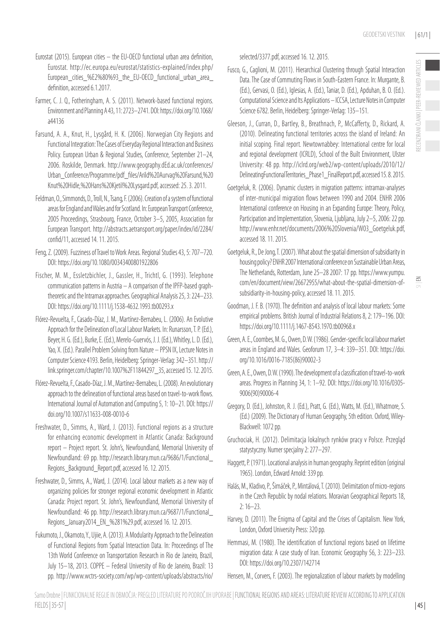RECENZIRANI ČLANKI | PEER-REVIEWED ARTICLES

IECENZIRANI ČLANKI | PEER-REVIEWED ARTICLES

- Eurostat (2015). European cities the EU-OECD functional urban area definition, Eurostat. http://ec.europa.eu/eurostat/statistics-explained/index.php/ European\_cities\_%E2%80%93\_the\_EU-OECD\_functional\_urban\_area\_ definition, accessed 6.1.2017.
- Farmer, C. J. Q., Fotheringham, A. S. (2011). Network-based functional regions. Environment and Planning A 43, 11: 2723–2741. DOI: https://doi.org/10.1068/ a44136
- Farsund, A. A., Knut, H., Lysgård, H. K. (2006). Norwegian City Regions and Functional Integration: The Cases of Everyday Regional Interaction and Business Policy. European Urban & Regional Studies, Conference, September 21–24, 2006. Roskilde, Denmark. http://www.geography.dEd.ac.uk/conferences/ Urban\_Conference/Programme/pdf\_files/Arild%20Aurvag%20Farsund,%20 Knut%20Hidle,%20Hans%20Kjetil%20Lysgard.pdf, accessed: 25. 3. 2011.
- Feldman, O., Simmonds, D., Troll, N., Tsang, F. (2006). Creation of a system of functional areas for England and Wales and for Scotland. In: European Transport Conference, 2005 Proceedings, Strasbourg, France, October 3–5, 2005, Association for European Transport. http://abstracts.aetransport.org/paper/index/id/2284/ confid/11, accessed 14. 11. 2015.
- Feng, Z. (2009). Fuzziness of Travel to Work Areas. Regional Studies 43, 5: 707–720. DOI: https://doi.org/10.1080/00343400801922806
- Fischer, M. M., Essletzbichler, J., Gassler, H., Trichtl, G. (1993). Telephone communication patterns in Austria – A comparison of the IPFP-based graphtheoretic and the Intramax approaches. Geographical Analysis 25, 3: 224–233. DOI: https://doi.org/10.1111/j.1538-4632.1993.tb00293.x
- Flórez-Revuelta, F., Casado-Díaz, J. M., Martínez-Bernabeu, L. (2006). An Evolutive Approach for the Delineation of Local Labour Markets. In: Runarsson, T. P. (Ed.), Beyer, H. G. (Ed.), Burke, E. (Ed.), Merelo-Guervós, J. J. (Ed.), Whitley, L. D. (Ed.), Yao, X. (Ed.). Parallel Problem Solving from Nature – PPSN IX, Lecture Notes in Computer Science 4193. Berlin, Heidelberg: Springer-Verlag: 342–351. http:// link.springer.com/chapter/10.1007%2F11844297\_35, accessed 15. 12. 2015.
- Flórez-Revuelta, F., Casado-Díaz, J. M., Martínez-Bernabeu, L. (2008). An evolutionary approach to the delineation of functional areas based on travel-to-work flows. International Journal of Automation and Computing 5, 1: 10–21. DOI: https:// doi.org/10.1007/s11633-008-0010-6
- Freshwater, D., Simms, A., Ward, J. (2013). Functional regions as a structure for enhancing economic development in Atlantic Canada: Background report – Project report. St. John's, Newfoundland, Memorial University of Newfoundland: 69 pp. http://research.library.mun.ca/9686/1/Functional\_ Regions\_Background\_Report.pdf, accessed 16. 12. 2015.
- Freshwater, D., Simms, A., Ward, J. (2014). Local labour markets as a new way of organizing policies for stronger regional economic development in Atlantic Canada: Project report. St. John's, Newfoundland, Memorial University of Newfoundland: 46 pp. http://research.library.mun.ca/9687/1/Functional\_ Regions\_January2014\_EN\_%281%29.pdf, accessed 16. 12. 2015.
- Fukumoto, J., Okamoto, Y., Ujiie, A. (2013). A Modularity Approach to the Delineation of Functional Regions from Spatial Interaction Data. In: Proceedings of The 13th World Conference on Transportation Research in Rio de Janeiro, Brazil, July 15–18, 2013. COPPE – Federal University of Rio de Janeiro, Brazil: 13 pp. http://www.wctrs-society.com/wp/wp-content/uploads/abstracts/rio/

selected/3377.pdf, accessed 16. 12. 2015.

- Fusco, G., Caglioni, M. (2011). Hierarchical Clustering through Spatial Interaction Data. The Case of Commuting Flows in South-Eastern France. In: Murgante, B. (Ed.), Gervasi, O. (Ed.), Iglesias, A. (Ed.), Taniar, D. (Ed.), Apduhan, B. O. (Ed.). Computational Science and Its Applications – ICCSA, Lecture Notes in Computer Science 6782. Berlin, Heidelberg: Springer-Verlag: 135–151.
- Gleeson, J., Curran, D., Bartley, B., Breathnach, P., McCafferty, D., Rickard, A. (2010). Delineating functional territories across the island of Ireland: An initial scoping. Final report. Newtownabbey: International centre for local and regional development (ICRLD), School of the Built Environment, Ulster University: 48 pp. http://iclrd.org/web2/wp-content/uploads/2010/12/ DelineatingFunctionalTerritories\_Phase1\_FinalReport.pdf, accessed 15. 8. 2015.
- Goetgeluk, R. (2006). Dynamic clusters in migration patterns: intramax-analyses of inter-municipal migration flows between 1990 and 2004. ENHR 2006 International conference on Housing in an Expanding Europe: Theory, Policy, Participation and Implementation, Slovenia, Ljubljana, July 2–5, 2006: 22 pp. http://www.enhr.net/documents/2006%20Slovenia/W03\_Goetgeluk.pdf, accessed 18. 11. 2015.
- Goetgeluk, R., De Jong, T. (2007). What about the spatial dimension of subsidiarity in housing policy? ENHR 2007 International conference on Sustainable Urban Areas, The Netherlands, Rotterdam, June 25–28 2007: 17 pp. https://www.yumpu. com/en/document/view/26672955/what-about-the-spatial-dimension-ofsubsidiarity-in-housing-policy, accessed 18. 11. 2015.
	- $\leq$
- Goodman, J. F. B. (1970). The definition and analysis of local labour markets: Some empirical problems. British Journal of Industrial Relations 8, 2: 179–196. DOI: https://doi.org/10.1111/j.1467-8543.1970.tb00968.x
- Green, A. E., Coombes, M. G., Owen, D. W. (1986). Gender-specific local labour market areas in England and Wales. Geoforum 17, 3–4: 339–351. DOI: https://doi. org/10.1016/0016-7185(86)90002-3
- Green, A. E., Owen, D. W. (1990). The development of a classification of travel-to-work areas. Progress in Planning 34, 1: 1–92. DOI: https://doi.org/10.1016/0305- 9006(90)90006-4
- Gregory, D. (Ed.), Johnston, R. J. (Ed.), Pratt, G. (Ed.), Watts, M. (Ed.), Whatmore, S. (Ed.) (2009). The Dictionary of Human Geography, 5th edition. Oxford, Wiley-Blackwell: 1072 pp.
- Gruchociak, H. (2012). Delimitacja lokalnych rynków pracy v Polsce. Przegląd statystyczny. Numer specjalny 2: 277–297.
- Haggett, P. (1971). Locational analysis in human geography. Reprint edition (original 1965). London, Edward Arnold: 339 pp.
- Halás, M., Kladivo, P., Šimáček, P., Mintálová, T. (2010). Delimitation of micro-regions in the Czech Republic by nodal relations. Moravian Geographical Reports 18, 2: 16–23.
- Harvey, D. (2011). The Enigma of Capital and the Crises of Capitalism. New York, London, Oxford University Press: 320 pp.
- Hemmasi, M. (1980). The identification of functional regions based on lifetime migration data: A case study of Iran. Economic Geography 56, 3: 223–233. DOI: https://doi.org/10.2307/142714

Hensen, M., Corvers, F. (2003). The regionalization of labour markets by modelling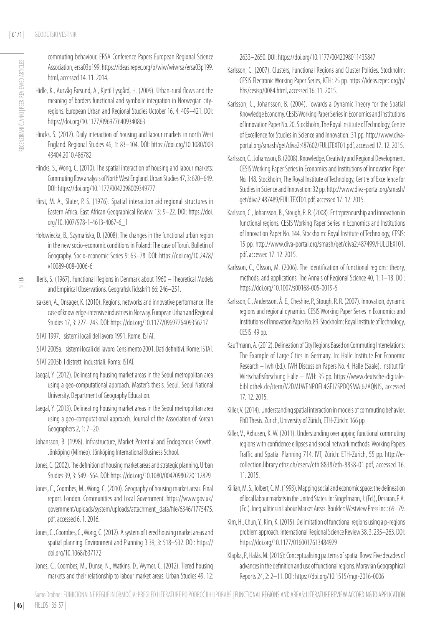commuting behaviour. ERSA Conference Papers European Regional Science Association, ersa03p199. https://ideas.repec.org/p/wiw/wiwrsa/ersa03p199. html, accessed 14. 11. 2014.

- Hidle, K., Aurvåg Farsund, A., Kjetil Lysgård, H. (2009). Urban-rural flows and the meaning of borders functional and symbolic integration in Norwegian cityregions. European Urban and Regional Studies October 16, 4: 409–421. DOI: https://doi.org/10.1177/0969776409340863
- Hincks, S. (2012). Daily interaction of housing and labour markets in north West England. Regional Studies 46, 1: 83–104. DOI: https://doi.org/10.1080/003 43404 2010 486782
- Hincks, S., Wong, C. (2010). The spatial interaction of housing and labour markets: Commuting flow analysis of North West England. Urban Studies 47, 3: 620–649. DOI: https://doi.org/10.1177/0042098009349777
- Hirst, M. A., Slater, P. S. (1976). Spatial interaction aid regional structures in Eastern Africa. East African Geographical Review 13: 9–22. DOI: https://doi. org/10.1007/978-1-4613-4067-6\_1
- Hołowiecka, B., Szymańska, D. (2008). The changes in the functional urban region in the new socio-economic conditions in Poland: The case of Toruń. Bulletin of Geography. Socio-economic Series 9: 63–78. DOI: https://doi.org/10.2478/ v10089-008-0006-6

- Illeris, S. (1967). Functional Regions in Denmark about 1960 Theoretical Models and Empirical Observations. Geografisk Tidsskrift 66: 246–251.
- Isaksen, A., Onsager, K. (2010). Regions, networks and innovative performance: The case of knowledge-intensive industries in Norway. European Urban and Regional Studies 17, 3: 227–243. DOI: https://doi.org/10.1177/0969776409356217
- ISTAT 1997. I sistemi locali del lavoro 1991. Rome: ISTAT.
- ISTAT 2005a. I sistemi locali del lavoro. Censimento 2001. Dati definitivi. Rome: ISTAT.
- ISTAT 2005b. I distretti industriali. Roma: ISTAT.
- Jaegal, Y. (2012). Delineating housing market areas in the Seoul metropolitan area using a geo-computational approach. Master's thesis. Seoul, Seoul National University, Department of Geography Education.
- Jaegal, Y. (2013). Delineating housing market areas in the Seoul metropolitan area using a geo-computational approach. Journal of the Association of Korean Geographers 2, 1: 7–20.
- Johansson, B. (1998). Infrastructure, Market Potential and Endogenous Growth. Jönköping (Mimeo). Jönköping International Business School.
- Jones, C. (2002). The definition of housing market areas and strategic planning. Urban Studies 39, 3: 549–564. DOI: https://doi.org/10.1080/00420980220112829
- Jones, C., Coombes, M., Wong, C. (2010). Geography of housing market areas. Final report. London. Communities and Local Government. https://www.gov.uk/ government/uploads/system/uploads/attachment\_data/file/6346/1775475. pdf, accessed 6. 1. 2016.
- Jones, C., Coombes, C., Wong, C. (2012). A system of tiered housing market areas and spatial planning. Environment and Planning B 39, 3: 518–532. DOI: https:// doi.org/10.1068/b37172
- Jones, C., Coombes, M., Dunse, N., Watkins, D., Wymer, C. (2012). Tiered housing markets and their relationship to labour market areas. Urban Studies 49, 12:

2633–2650. DOI: https://doi.org/10.1177/0042098011435847

- Karlsson, C. (2007). Clusters, Functional Regions and Cluster Policies. Stockholm: CESIS Electronic Working Paper Series, KTH: 25 pp. https://ideas.repec.org/p/ hhs/cesisp/0084.html, accessed 16. 11. 2015.
- Karlsson, C., Johansson, B. (2004). Towards a Dynamic Theory for the Spatial Knowledge Economy. CESIS Working Paper Series in Economics and Institutions of Innovation Paper No. 20. Stockholm, The Royal Institute of Technology, Centre of Excellence for Studies in Science and Innovation: 31 pp. http://www.divaportal.org/smash/get/diva2:487602/FULLTEXT01.pdf, accessed 17. 12. 2015.
- Karlsson, C., Johansson, B. (2008). Knowledge, Creativity and Regional Development. CESIS Working Paper Series in Economics and Institutions of Innovation Paper No. 148. Stockholm, The Royal Institute of Technology, Centre of Excellence for Studies in Science and Innovation: 32 pp. http://www.diva-portal.org/smash/ get/diva2:487489/FULLTEXT01.pdf, accessed 17. 12. 2015.
- Karlsson, C., Johansson, B., Stough, R. R. (2008). Entrepreneurship and innovation in functional regions. CESIS Working Paper Series in Economics and Institutions of Innovation Paper No. 144. Stockholm: Royal Institute of Technology, CESIS: 15 pp. http://www.diva-portal.org/smash/get/diva2:487499/FULLTEXT01. pdf, accessed 17. 12. 2015.
- Karlsson, C., Olsson, M. (2006). The identification of functional regions: theory, methods, and applications. The Annals of Regional Science 40, 1: 1–18. DOI: https://doi.org/10.1007/s00168-005-0019-5
- Karlsson, C., Andersson, Å. E., Cheshire, P., Stough, R. R. (2007). Innovation, dynamic regions and regional dynamics. CESIS Working Paper Series in Economics and Institutions of Innovation Paper No. 89. Stockholm: Royal Institute of Technology, CESIS: 49 pp.
- Kauffmann, A. (2012). Delineation of City Regions Based on Commuting Interrelations: The Example of Large Cities in Germany. In: Halle Institute For Economic Research – Iwh (Ed.). IWH Discussion Papers No. 4. Halle (Saale), Institut für Wirtschaftsforschung Halle – IWH: 35 pp. https://www.deutsche-digitalebibliothek.de/item/V2DMLWENPOEL4GEJ7SPDQSMAI62AQNI5, accessed 17. 12. 2015.
- Killer, V. (2014). Understanding spatial interaction in models of commuting behavior. PhD Thesis. Zürich, University of Zürich, ETH-Zürich: 166 pp.
- Killer, V., Axhusen, K. W. (2011). Understanding overlapping functional commuting regions with confidence ellipses and social network methods. Working Papers Traffic and Spatial Planning 714, IVT, Zürich: ETH-Zurich, 55 pp. http://ecollection.library.ethz.ch/eserv/eth:8838/eth-8838-01.pdf, accessed 16. 11. 2015.
- Killian, M. S., Tolbert, C. M. (1993). Mapping social and economic space: the delineation of local labour markets in the United States. In: Singelmann, J. (Ed.), Desaran, F. A. (Ed.). Inequalities in Labour Market Areas. Boulder: Westview Press Inc.: 69–79.
- Kim, H., Chun, Y., Kim, K. (2015). Delimitation of functional regions using a p-regions problem approach. International Regional Science Review 38, 3: 235–263. DOI: https://doi.org/10.1177/0160017613484929
- Klapka, P., Halás, M. (2016): Conceptualising patterns of spatial flows: Five decades of advances in the definition and use of functional regions. Moravian Geographical Reports 24, 2: 2–11. DOI: https://doi.org/10.1515/mgr-2016-0006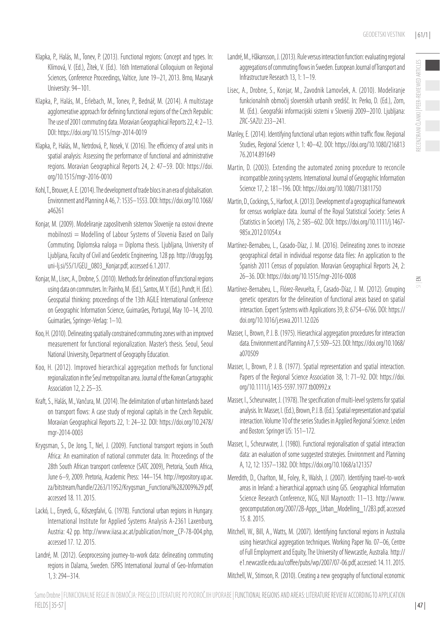- Klapka, P., Halás, M., Tonev, P. (2013). Functional regions: Concept and types. In: Klímová, V. (Ed.), Žítek, V. (Ed.). 16th International Colloquium on Regional Sciences, Conference Proceedings, Valtice, June 19–21, 2013. Brno, Masaryk University: 94–101.
- Klapka, P., Halás, M., Erlebach, M., Tonev, P., Bednář, M. (2014). A multistage agglomerative approach for defining functional regions of the Czech Republic: The use of 2001 commuting data. Moravian Geographical Reports 22, 4: 2–13. DOI: https://doi.org/10.1515/mgr-2014-0019
- Klapka, P., Halás, M., Netrdová, P., Nosek, V. (2016). The efficiency of areal units in spatial analysis: Assessing the performance of functional and administrative regions. Moravian Geographical Reports 24, 2: 47–59. DOI: https://doi. org/10.1515/mgr-2016-0010
- Kohl, T., Brouver, A. E. (2014). The development of trade blocs in an era of globalisation. Environment and Planning A 46, 7: 1535–1553. DOI: https://doi.org/10.1068/ a46261
- Konjar, M. (2009). Modeliranje zaposlitvenih sistemov Slovenije na osnovi dnevne mobilnosti = Modelling of Labour Systems of Slovenia Based on Daily Commuting. Diplomska naloga = Diploma thesis. Ljubljana, University of Ljubljana, Faculty of Civil and Geodetic Engineering, 128 pp. http://drugg.fgg. uni-lj.si/55/1/GEU\_0803\_Konjar.pdf, accessed 6.1.2017.
- Konjar, M., Lisec, A., Drobne, S. (2010). Methods for delineation of functional regions using data on commuters. In: Painho, M. (Ed.), Santos, M. Y. (Ed.), Pundt, H. (Ed.). Geospatial thinking: proceedings of the 13th AGILE International Conference on Geographic Information Science, Guimarães, Portugal, May 10–14, 2010. Guimarães, Springer-Verlag: 1–10.
- Koo, H. (2010). Delineating spatially constrained commuting zones with an improved measurement for functional regionalization. Master's thesis. Seoul, Seoul National University, Department of Geography Education.
- Koo, H. (2012). Improved hierarchical aggregation methods for functional regionalization in the Seul metropolitan area. Journal of the Korean Cartographic Association 12, 2: 25–35.
- Kraft, S., Halás, M., Vančura, M. (2014). The delimitation of urban hinterlands based on transport flows: A case study of regional capitals in the Czech Republic. Moravian Geographical Reports 22, 1: 24–32. DOI: https://doi.org/10.2478/ mgr-2014-0003
- Krygsman, S., De Jong, T., Nel, J. (2009). Functional transport regions in South Africa: An examination of national commuter data. In: Proceedings of the 28th South African transport conference (SATC 2009), Pretoria, South Africa, June 6–9, 2009. Pretoria, Academic Press: 144–154. http://repository.up.ac. za/bitstream/handle/2263/11952/Krygsman\_Functional%282009%29.pdf, accessed 18. 11. 2015.
- Lackó, L., Enyedi, G., Kőszegfalvi, G. (1978). Functional urban regions in Hungary. International Institute for Applied Systems Analysis A-2361 Laxenburg, Austria: 42 pp. http://www.iiasa.ac.at/publication/more\_CP-78-004.php, accessed 17. 12. 2015.
- Landré, M. (2012). Geoprocessing journey-to-work data: delineating commuting regions in Dalarna, Sweden. ISPRS International Journal of Geo-Information 1, 3: 294–314.
- Landré, M., Håkansson, J. (2013). Rule versus interaction function: evaluating regional aggregations of commuting flows in Sweden. European Journal of Transport and Infrastructure Research 13, 1: 1–19.
- Lisec, A., Drobne, S., Konjar, M., Zavodnik Lamovšek, A. (2010). Modeliranje funkcionalnih območij slovenskih urbanih središč. In: Perko, D. (Ed.), Zorn, M. (Ed.). Geografski informacijski sistemi v Sloveniji 2009–2010. Ljubljana: ZRC-SAZU: 233–241.
- Manley, E. (2014). Identifying functional urban regions within traffic flow. Regional Studies, Regional Science 1, 1: 40–42. DOI: https://doi.org/10.1080/216813 76.2014.891649
- Martin, D. (2003). Extending the automated zoning procedure to reconcile incompatible zoning systems. International Journal of Geographic Information Science 17, 2: 181–196. DOI: https://doi.org/10.1080/713811750
- Martin, D., Cockings, S., Harfoot, A. (2013). Development of a geographical framework for census workplace data. Journal of the Royal Statistical Society: Series A (Statistics in Society) 176, 2: 585–602. DOI: https://doi.org/10.1111/j.1467- 985x.2012.01054.x
- Martínez-Bernabeu, L., Casado-Díaz, J. M. (2016). Delineating zones to increase geographical detail in individual response data files: An application to the Spanish 2011 Census of population. Moravian Geographical Reports 24, 2: 26–36. DOI: https://doi.org/10.1515/mgr-2016-0008
- Martínez-Bernabeu, L., Flórez-Revuelta, F., Casado-Díaz, J. M. (2012). Grouping genetic operators for the delineation of functional areas based on spatial interaction. Expert Systems with Applications 39, 8: 6754–6766. DOI: https:// doi.org/10.1016/j.eswa.2011.12.026
- Masser, I., Brown, P. J. B. (1975). Hierarchical aggregation procedures for interaction data. Environment and Planning A 7, 5: 509–523. DOI: https://doi.org/10.1068/ a070509
- Masser, I., Brown, P. J. B. (1977). Spatial representation and spatial interaction. Papers of the Regional Science Association 38, 1: 71-92. DOI: https://doi. org/10.1111/j.1435-5597.1977.tb00992.x
- Masser, I., Scheurwater, J. (1978). The specification of multi-level systems for spatial analysis. In: Masser, I. (Ed.), Brown, P. J. B. (Ed.). Spatial representation and spatial interaction. Volume 10 of the series Studies in Applied Regional Science. Leiden and Boston: Springer US: 151–172.
- Masser, I., Scheurwater, J. (1980). Functional regionalisation of spatial interaction data: an evaluation of some suggested strategies. Environment and Planning A, 12, 12: 1357–1382. DOI: https://doi.org/10.1068/a121357
- Meredith, D., Charlton, M., Foley, R., Walsh, J. (2007). Identifying travel-to-work areas in Ireland: a hierarchical approach using GIS. Geographical Information Science Research Conference, NCG, NUI Maynooth: 11–13. http://www. geocomputation.org/2007/2B-Apps\_Urban\_Modelling\_1/2B3.pdf, accessed 15. 8. 2015.
- Mitchell, W., Bill, A., Watts, M. (2007). Identifying functional regions in Australia using hierarchical aggregation techniques. Working Paper No. 07–06, Centre of Full Employment and Equity, The University of Newcastle, Australia. http:// e1.newcastle.edu.au/coffee/pubs/wp/2007/07-06.pdf, accessed: 14. 11. 2015.

Mitchell, W., Stimson, R. (2010). Creating a new geography of functional economic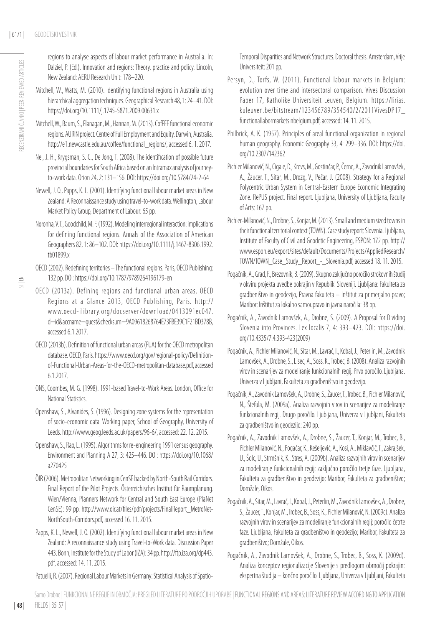- Mitchell, W., Watts, M. (2010). Identifying functional regions in Australia using hierarchical aggregation techniques. Geographical Research 48, 1: 24–41. DOI: https://doi.org/10.1111/j.1745-5871.2009.00631.x
- Mitchell, W., Baum, S., Flanagan, M., Hannan, M. (2013). CofFEE functional economic regions. AURIN project. Centre of Full Employment and Equity. Darwin, Australia. http://e1.newcastle.edu.au/coffee/functional\_regions/, accessed 6. 1. 2017.
- Nel, J. H., Krygsman, S. C., De Jong, T. (2008). The identification of possible future provincial boundaries for South Africa based on an Intramax analysis of journeyto-work data. Orion 24, 2: 131–156. DOI: https://doi.org/10.5784/24-2-64
- Newell, J. O., Papps, K. L. (2001). Identifying functional labour market areas in New Zealand: A Reconnaissance study using travel-to-work data. Wellington, Labour Market Policy Group, Department of Labour: 65 pp.
- Noronha, V. T., Goodchild, M. F. (1992). Modeling interregional interaction: implications for defining functional regions. Annals of the Association of American Geographers 82, 1: 86–102. DOI: https://doi.org/10.1111/j.1467-8306.1992. tb01899.x
- OECD (2002). Redefining territories The functional regions. Paris, OECD Publishing: 132 pp. DOI: https://doi.org/10.1787/9789264196179-en
- OECD (2013a). Defining regions and functional urban areas, OECD Regions at a Glance 2013, OECD Publishing, Paris. http:// www.oecd-ilibrary.org/docserver/download/0413091ec047. d=id&accname=guest&checksum=9A09618268764E73FBE39C1F21BD378B, accessed 6.1.2017.
- OECD (2013b). Definition of functional urban areas (FUA) for the OECD metropolitan database. OECD, Paris. https://www.oecd.org/gov/regional-policy/Definitionof-Functional-Urban-Areas-for-the-OECD-metropolitan-database.pdf, accessed 6.1.2017.
- ONS, Coombes, M. G. (1998). 1991-based Travel-to-Work Areas. London, Office for National Statistics.
- Openshaw, S., Alvanides, S. (1996). Designing zone systems for the representation of socio-economic data. Working paper, School of Geography, University of Leeds. http://www.geog.leeds.ac.uk/papers/96-6/, accessed: 22. 12. 2015.
- Openshaw, S., Rao, L. (1995). Algorithms for re-engineering 1991 census geography. Environment and Planning A 27, 3: 425–446. DOI: https://doi.org/10.1068/ a270425
- ÖIR (2006). Metropolitan Networking in CenSE backed by North-South Rail Corridors. Final Report of the Pilot Projects. Österreichisches Institut für Raumplanung. Wien/Vienna, Planners Network for Central and South East Europe (PlaNet CenSE): 99 pp. http://www.oir.at/files/pdf/projects/FinalReport\_MetroNet-NorthSouth-Corridors.pdf, accessed 16. 11. 2015.
- Papps, K. L., Newell, J. O. (2002). Identifying functional labour market areas in New Zealand: A reconnaissance study using Travel-to-Work data. Discussion Paper 443. Bonn, Institute for the Study of Labor (IZA): 34 pp. http://ftp.iza.org/dp443. pdf, accessed: 14. 11. 2015.
- Patuelli, R. (2007). Regional Labour Markets in Germany: Statistical Analysis of Spatio-

Temporal Disparities and Network Structures. Doctoral thesis. Amsterdam, Vrije Universiteit: 201 pp.

- Persyn, D., Torfs, W. (2011). Functional labour markets in Belgium: evolution over time and intersectoral comparison. Vives Discussion Paper 17, Katholike Universiteit Leuven, Belgium. https://lirias. kuleuven.be/bitstream/123456789/354540/2/2011VivesDP17\_ functionallabormarketsinbelgium.pdf, accessed: 14. 11. 2015.
- Philbrick, A. K. (1957). Principles of areal functional organization in regional human geography. Economic Geography 33, 4: 299–336. DOI: https://doi. org/10.2307/142362
- Pichler Milanović, N., Cigale, D., Krevs, M., Gostinčar, P., Černe, A., Zavodnik Lamovšek, A., Žaucer, T., Sitar, M., Drozg, V., Pečar, J. (2008). Strategy for a Regional Polycentric Urban System in Central-Eastern Europe Economic Integrating Zone. RePUS project, Final report. Ljubljana, University of Ljubljana, Faculty of Arts: 167 pp.
- Pichler-Milanović, N., Drobne, S., Konjar, M. (2013). Small and medium sized towns in their functional territorial context (TOWN). Case study report: Slovenia. Ljubljana, Institute of Faculty of Civil and Geodetic Engineering, ESPON: 172 pp. http:// www.espon.eu/export/sites/default/Documents/Projects/AppliedResearch/ TOWN/TOWN\_Case\_Study\_Report\_-\_Slovenia.pdf, accessed 18. 11. 2015.
- Pogačnik, A., Grad, F., Brezovnik, B. (2009). Skupno zaključno poročilo strokovnih študij v okviru projekta uvedbe pokrajin v Republiki Sloveniji. Ljubljana: Fakulteta za gradbeništvo in geodezijo, Pravna fakulteta – Inštitut za primerjalno pravo; Maribor: Inštitut za lokalno samoupravo in javna naročila: 38 pp.
- Pogačnik, A., Zavodnik Lamovšek, A., Drobne, S. (2009). A Proposal for Dividing Slovenia into Provinces. Lex localis 7, 4: 393–423. DOI: https://doi. org/10.4335/7.4.393-423(2009)
- Pogačnik, A., Pichler Milanović, N., Sitar, M., Lavrač, I., Kobal, J., Peterlin, M., Zavodnik Lamovšek, A., Drobne, S., Lisec, A., Soss, K., Trobec, B. (2008). Analiza razvojnih virov in scenarijev za modeliranje funkcionalnih regij. Prvo poročilo. Ljubljana. Univerza v Ljubljani, Fakulteta za gradbeništvo in geodezijo.
- Pogačnik, A., Zavodnik Lamovšek, A., Drobne, S., Žaucer, T., Trobec, B., Pichler Milanović, N., Štefula, M. (2009a). Analiza razvojnih virov in scenarijev za modeliranje funkcionalnih regij. Drugo poročilo. Ljubljana, Univerza v Ljubljani, Fakulteta za gradbeništvo in geodezijo: 240 pp.
- Pogačnik, A., Zavodnik Lamovšek, A., Drobne, S., Žaucer, T., Konjar, M., Trobec, B., Pichler Milanović, N., Pogačar, K., Kešeljević, A., Kosi, A., Miklavčič, T., Zakrajšek, U., Šolc, U., Strmšnik, K., Stres, A. (2009b). Analiza razvojnih virov in scenarijev za modeliranje funkcionalnih regij: zaključno poročilo tretje faze. Ljubljana, Fakulteta za gradbeništvo in geodezijo; Maribor, Fakulteta za gradbeništvo; Domžale, Oikos.
- Pogačnik, A., Sitar, M., Lavrač, I., Kobal, J., Peterlin, M., Zavodnik Lamovšek, A., Drobne, S., Žaucer, T., Konjar, M., Trobec, B., Soss, K., Pichler Milanović, N. (2009c). Analiza razvojnih virov in scenarijev za modeliranje funkcionalnih regij: poročilo četrte faze. Ljubljana, Fakulteta za gradbeništvo in geodezijo; Maribor, Fakulteta za gradbeništvo; Domžale, Oikos.
- Pogačnik, A., Zavodnik Lamovšek, A., Drobne, S., Trobec, B., Soss, K. (2009d). Analiza konceptov regionalizacije Slovenije s predlogom območij pokrajin: ekspertna študija – končno poročilo. Ljubljana, Univerza v Ljubljani, Fakulteta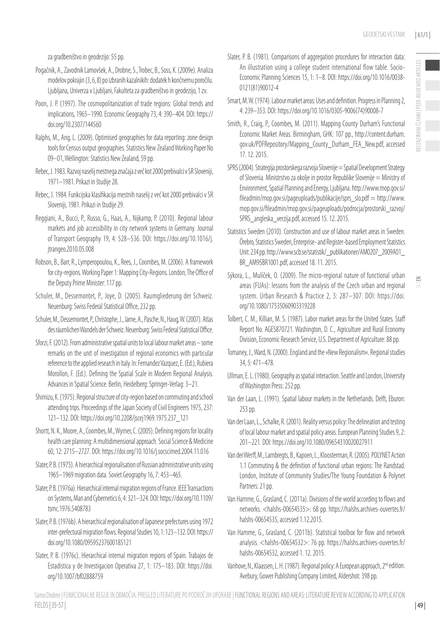za gradbeništvo in geodezijo: 55 pp.

- Pogačnik, A., Zavodnik Lamovšek, A., Drobne, S., Trobec, B., Soss, K. (2009e). Analiza modelov pokrajin (3, 6, 8) po izbranih kazalnikih: dodatek h končnemu poročilu. Ljubljana, Univerza v Ljubljani, Fakulteta za gradbeništvo in geodezijo, 1 zv.
- Poon, J. P. (1997). The cosmopolitanization of trade regions: Global trends and implications, 1965–1990. Economic Geography 73, 4: 390–404. DOI: https:// doi.org/10.2307/144560
- Ralphs, M., Ang, L. (2009). Optimised geographies for data reporting: zone design tools for Census output geographies. Statistics New Zealand Working Paper No 09–01, Wellington: Statistics New Zealand, 59 pp.
- Rebec, J. 1983. Razvoj naselij mestnega značaja z več kot 2000 prebivalci v SR Sloveniji, 1971–1981. Prikazi in študije 28.
- Rebec, J. 1984. Funkcijska klasifikacija mestnih naselij z več kot 2000 prebivalci v SR Sloveniji, 1981. Prikazi in študije 29.
- Reggiani, A., Bucci, P., Russo, G., Haas, A., Nijkamp, P. (2010). Regional labour markets and job accessibility in city network systems in Germany. Journal of Transport Geography 19, 4: 528–536. DOI: https://doi.org/10.1016/j. jtrangeo.2010.05.008
- Robson, B., Barr, R., Lymperopoulou, K., Rees, J., Coombes, M. (2006). A framework for city-regions. Working Paper 1: Mapping City-Regions. London, The Office of the Deputy Prime Minister: 117 pp.
- Schuler, M., Dessemontet, P., Joye, D. (2005). Raumgliederung der Schweiz. Neuenburg: Swiss Federal Statistical Office, 232 pp.
- Schuler, M., Dessemontet, P., Christophe, J., Jarne, A., Pasche, N., Haug, W. (2007). Atlas des räumlichen Wandels der Schweiz. Neuenburg: Swiss Federal Statistical Office.
- Sforzi, F. (2012). From administrative spatial units to local labour market areas some remarks on the unit of investigation of regional economics with particular reference to the applied research in Italy. In: Fernandez Vazquez, E. (Ed.), Rubiera Morollon, F. (Ed.). Defining the Spatial Scale in Modern Regional Analysis. Advances in Spatial Science. Berlin, Heidelberg: Springer-Verlag: 3–21.
- Shimizu, K. (1975). Regional structure of city-region based on commuting and school attending trips. Proceedings of the Japan Society of Civil Engineers 1975, 237: 121–132. DOI: https://doi.org/10.2208/jscej1969.1975.237\_121
- Shortt, N. K., Moore, A., Coombes, M., Wymer, C. (2005). Defining regions for locality health care planning: A multidimensional approach. Social Science & Medicine 60, 12: 2715–2727. DOI: https://doi.org/10.1016/j.socscimed.2004.11.016
- Slater, P. B. (1975). A hierarchical regionalisation of Russian administrative units using 1965–1969 migration data. Soviet Geography 16, 7: 453–465.
- Slater, P. B. (1976a). Hierarchical internal migration regions of France. IEEE Transactions on Systems, Man and Cybernetics 6, 4: 321–324. DOI: https://doi.org/10.1109/ tsmc.1976.5408783
- Slater, P.B. (1976b). A hierarchical regionalisation of Japanese prefectures using 1972 inter-prefectural migration flows. Regional Studies 10, 1: 123–132. DOI: https:// doi.org/10.1080/09595237600185121
- Slater, P. B. (1976c). Hierarchical internal migration regions of Spain. Trabajos de Estadistica y de Investigacion Operativa 27, 1: 175–183. DOI: https://doi. org/10.1007/bf02888759
- Slater, P. B. (1981). Comparisons of aggregation procedures for interaction data: An illustration using a college student international flow table. Socio-Economic Planning Sciences 15, 1: 1–8. DOI: https://doi.org/10.1016/0038- 0121(81)90012-4
- Smart, M. W. (1974). Labour market areas: Uses and definition. Progress in Planning 2, 4: 239–353. DOI: https://doi.org/10.1016/0305-9006(74)90008-7
- Smith, R., Craig, P., Coombes, M. (2011). Mapping County Durham's Functional Economic Market Areas. Birmingham, GHK: 107 pp., http://content.durham. gov.uk/PDFRepository/Mapping\_County\_Durham\_FEA\_New.pdf, accessed 17. 12. 2015.
- SPRS (2004). Strategija prostorskega razvoja Slovenije = Spatial Development Strategy of Slovenia. Ministrstvo za okolje in prostor Republike Slovenije = Ministry of Environment, Spatial Planning and Energy, Ljubljana. http://www.mop.gov.si/ fileadmin/mop.gov.si/pageuploads/publikacije/sprs\_slo.pdf = http://www. mop.gov.si/fileadmin/mop.gov.si/pageuploads/podrocja/prostorski\_razvoj/ SPRS\_angleska\_verzija.pdf, accessed 15. 12. 2015.
- Statistics Sweden (2010). Construction and use of labour market areas in Sweden. Örebro, Statistics Sweden, Enterprise- and Register-based Employment Statistics Unit: 234 pp. http://www.scb.se/statistik/\_publikationer/AM0207\_2009A01\_ BR\_AM95BR1001.pdf, accessed 18. 11. 2015.
- Sýkora, L., Mulíček, O. (2009). The micro-regional nature of functional urban areas (FUAs): lessons from the analysis of the Czech urban and regional system. Urban Research & Practice 2, 3: 287–307. DOI: https://doi. org/10.1080/17535060903319228
- Tolbert, C. M., Killian, M. S. (1987). Labor market areas for the United States. Staff Report No. AGES870721. Washington, D. C., Agriculture and Rural Economy Division, Economic Research Service, U.S. Department of Agriculture: 88 pp.
- Tomaney, J., Ward, N. (2000). England and the »New Regionalism«. Regional studies 34, 5: 471–478.
- Ullman, E. L. (1980). Geography as spatial interaction. Seattle and London, University of Washington Press: 252 pp.
- Van der Laan, L. (1991). Spatial labour markets in the Netherlands. Delft, Eburon: 253 pp.
- Van der Laan, L., Schalke, R. (2001). Reality versus policy: The delineation and testing of local labour market and spatial policy areas. European Planning Studies 9, 2: 201–221. DOI: https://doi.org/10.1080/09654310020027911
- Van der Werff, M., Lambregts, B., Kapoen, L., Kloosterman, R. (2005). POLYNET Action 1.1 Commuting & the definition of functional urban regions: The Randstad. London, Institute of Community Studies/The Young Foundation & Polynet Partners: 21 pp.
- Van Hamme, G., Grasland, C. (2011a). Divisions of the world according to flows and networks. <halshs-00654535>: 68 pp. https://halshs.archives-ouvertes.fr/ halshs-00654535, accessed 1.12.2015.
- Van Hamme, G., Grasland, C. (2011b). Statistical toolbox for flow and network analysis. <halshs-00654532>: 76 pp. https://halshs.archives-ouvertes.fr/ halshs-00654532, accessed 1. 12. 2015.
- Vanhove, N., Klaassen, L. H. (1987). Regional policy: A European approach, 2<sup>nd</sup> edition. Avebury, Gower Publishing Company Limited, Aldershot: 398 pp.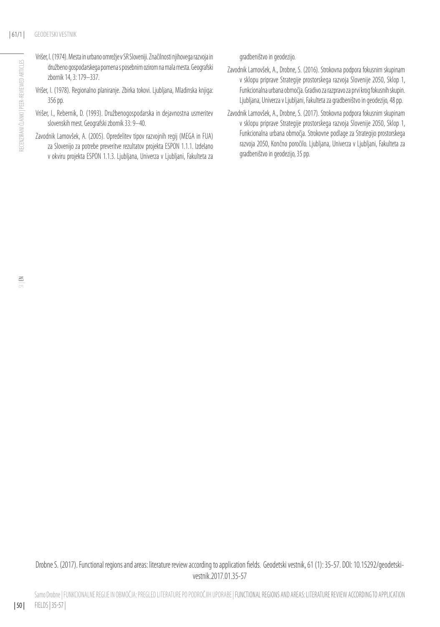- Vrišer, I. (1974). Mesta in urbano omrežje v SR Sloveniji. Značilnosti njihovega razvoja in družbeno gospodarskega pomena s posebnim ozirom na mala mesta. Geografski zbornik 14, 3: 179–337.
- Vrišer, I. (1978). Regionalno planiranje. Zbirka tokovi. Ljubljana, Mladinska knjiga: 356 pp.
- Vrišer, I., Rebernik, D. (1993). Družbenogospodarska in dejavnostna usmeritev slovenskih mest. Geografski zbornik 33: 9–40.
- Zavodnik Lamovšek, A. (2005). Opredelitev tipov razvojnih regij (MEGA in FUA) za Slovenijo za potrebe preveritve rezultatov projekta ESPON 1.1.1. Izdelano v okviru projekta ESPON 1.1.3. Ljubljana, Univerza v Ljubljani, Fakulteta za

gradbeništvo in geodezijo.

- Zavodnik Lamovšek, A., Drobne, S. (2016). Strokovna podpora fokusnim skupinam v sklopu priprave Strategije prostorskega razvoja Slovenije 2050, Sklop 1, Funkcionalna urbana območja. Gradivo za razpravo za prvi krog fokusnih skupin. Ljubljana, Univerza v Ljubljani, Fakulteta za gradbeništvo in geodezijo, 48 pp.
- Zavodnik Lamovšek, A., Drobne, S. (2017). Strokovna podpora fokusnim skupinam v sklopu priprave Strategije prostorskega razvoja Slovenije 2050, Sklop 1, Funkcionalna urbana območja. Strokovne podlage za Strategijo prostorskega razvoja 2050, Končno poročilo. Ljubljana, Univerza v Ljubljani, Fakulteta za gradbeništvo in geodezijo, 35 pp.

Drobne S. (2017). Functional regions and areas: literature review according to application fields. Geodetski vestnik, 61 (1): 35-57. DOI: 10.15292/geodetskivestnik.2017.01.35-57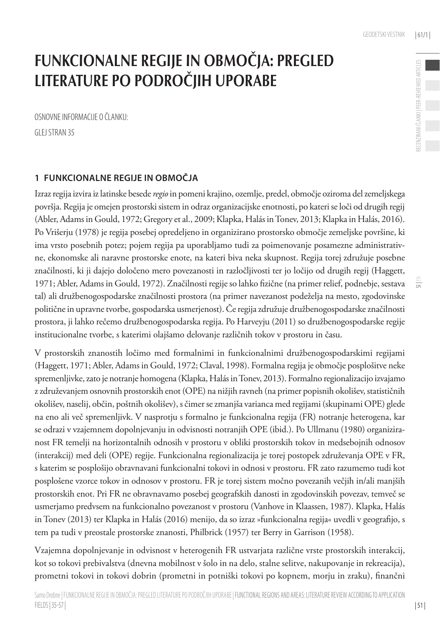# FUNKCIONALNE REGIJE IN OBMOČJA: PREGLED LITERATURE PO PODROČJIH UPORABE

OSNOVNE INFORMACIJE O ČLANKU: GLEJ STRAN 35

## **1 FUNKCIONALNE REGIJE IN OBMOČJA**

Izraz regija izvira iz latinske besede *regio* in pomeni krajino, ozemlje, predel, območje oziroma del zemeljskega površja. Regija je omejen prostorski sistem in odraz organizacijske enotnosti, po kateri se loči od drugih regij (Abler, Adams in Gould, 1972; Gregory et al., 2009; Klapka, Halás in Tonev, 2013; Klapka in Halás, 2016). Po Vrišerju (1978) je regija posebej opredeljeno in organizirano prostorsko območje zemeljske površine, ki ima vrsto posebnih potez; pojem regija pa uporabljamo tudi za poimenovanje posamezne administrativne, ekonomske ali naravne prostorske enote, na kateri biva neka skupnost. Regija torej združuje posebne značilnosti, ki ji dajejo določeno mero povezanosti in razločljivosti ter jo ločijo od drugih regij (Haggett, 1971; Abler, Adams in Gould, 1972). Značilnosti regije so lahko fizične (na primer relief, podnebje, sestava tal) ali družbenogospodarske značilnosti prostora (na primer navezanost podeželja na mesto, zgodovinske politične in upravne tvorbe, gospodarska usmerjenost). Če regija združuje družbenogospodarske značilnosti prostora, ji lahko rečemo družbenogospodarska regija. Po Harveyju (2011) so družbenogospodarske regije institucionalne tvorbe, s katerimi olajšamo delovanje različnih tokov v prostoru in času.

V prostorskih znanostih ločimo med formalnimi in funkcionalnimi družbenogospodarskimi regijami (Haggett, 1971; Abler, Adams in Gould, 1972; Claval, 1998). Formalna regija je območje posplošitve neke spremenljivke, zato je notranje homogena (Klapka, Halás in Tonev, 2013). Formalno regionalizacijo izvajamo z združevanjem osnovnih prostorskih enot (OPE) na nižjih ravneh (na primer popisnih okolišev, statističnih okolišev, naselij, občin, poštnih okolišev), s čimer se zmanjša varianca med regijami (skupinami OPE) glede na eno ali več spremenljivk. V nasprotju s formalno je funkcionalna regija (FR) notranje heterogena, kar se odrazi v vzajemnem dopolnjevanju in odvisnosti notranjih OPE (ibid.). Po Ullmanu (1980) organiziranost FR temelji na horizontalnih odnosih v prostoru v obliki prostorskih tokov in medsebojnih odnosov (interakcij) med deli (OPE) regije. Funkcionalna regionalizacija je torej postopek združevanja OPE v FR, s katerim se posplošijo obravnavani funkcionalni tokovi in odnosi v prostoru. FR zato razumemo tudi kot posplošene vzorce tokov in odnosov v prostoru. FR je torej sistem močno povezanih večjih in/ali manjših prostorskih enot. Pri FR ne obravnavamo posebej geografskih danosti in zgodovinskih povezav, temveč se usmerjamo predvsem na funkcionalno povezanost v prostoru (Vanhove in Klaassen, 1987). Klapka, Halás in Tonev (2013) ter Klapka in Halás (2016) menijo, da so izraz »funkcionalna regija« uvedli v geografijo, s tem pa tudi v preostale prostorske znanosti, Philbrick (1957) ter Berry in Garrison (1958).

Vzajemna dopolnjevanje in odvisnost v heterogenih FR ustvarjata različne vrste prostorskih interakcij, kot so tokovi prebivalstva (dnevna mobilnost v šolo in na delo, stalne selitve, nakupovanje in rekreacija), prometni tokovi in tokovi dobrin (prometni in potniški tokovi po kopnem, morju in zraku), finančni

| 51 |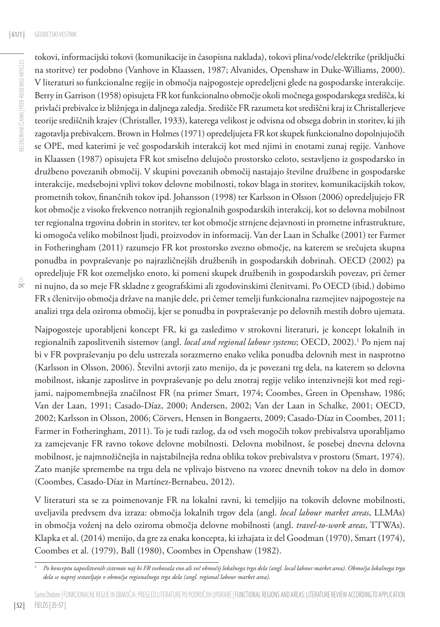$\equiv$ 

tokovi, informacijski tokovi (komunikacije in časopisna naklada), tokovi plina/vode/elektrike (priključki na storitve) ter podobno (Vanhove in Klaassen, 1987; Alvanides, Openshaw in Duke-Williams, 2000). V literaturi so funkcionalne regije in območja najpogosteje opredeljeni glede na gospodarske interakcije. Berry in Garrison (1958) opisujeta FR kot funkcionalno območje okoli močnega gospodarskega središča, ki privlači prebivalce iz bližnjega in daljnega zaledja. Središče FR razumeta kot središčni kraj iz Christallerjeve teorije središčnih krajev (Christaller, 1933), katerega velikost je odvisna od obsega dobrin in storitev, ki jih zagotavlja prebivalcem. Brown in Holmes (1971) opredeljujeta FR kot skupek funkcionalno dopolnjujočih se OPE, med katerimi je več gospodarskih interakcij kot med njimi in enotami zunaj regije. Vanhove in Klaassen (1987) opisujeta FR kot smiselno delujočo prostorsko celoto, sestavljeno iz gospodarsko in družbeno povezanih območij. V skupini povezanih območij nastajajo številne družbene in gospodarske interakcije, medsebojni vplivi tokov delovne mobilnosti, tokov blaga in storitev, komunikacijskih tokov, prometnih tokov, finančnih tokov ipd. Johansson (1998) ter Karlsson in Olsson (2006) opredeljujejo FR kot območje z visoko frekvenco notranjih regionalnih gospodarskih interakcij, kot so delovna mobilnost ter regionalna trgovina dobrin in storitev, ter kot območje strnjene dejavnosti in prometne infrastrukture, ki omogoča veliko mobilnost ljudi, proizvodov in informacij. Van der Laan in Schalke (2001) ter Farmer in Fotheringham (2011) razumejo FR kot prostorsko zvezno območje, na katerem se srečujeta skupna ponudba in povpraševanje po najrazličnejših družbenih in gospodarskih dobrinah. OECD (2002) pa opredeljuje FR kot ozemeljsko enoto, ki pomeni skupek družbenih in gospodarskih povezav, pri čemer ni nujno, da so meje FR skladne z geografskimi ali zgodovinskimi členitvami. Po OECD (ibid.) dobimo FR s členitvijo območja države na manjše dele, pri čemer temelji funkcionalna razmejitev najpogosteje na analizi trga dela oziroma območij, kjer se ponudba in povpraševanje po delovnih mestih dobro ujemata.

Najpogosteje uporabljeni koncept FR, ki ga zasledimo v strokovni literaturi, je koncept lokalnih in regionalnih zaposlitvenih sistemov (angl. *local and regional labour systems*; OECD, 2002).<sup>1</sup> Po njem naj bi v FR povpraševanju po delu ustrezala sorazmerno enako velika ponudba delovnih mest in nasprotno (Karlsson in Olsson, 2006). Številni avtorji zato menijo, da je povezani trg dela, na katerem so delovna mobilnost, iskanje zaposlitve in povpraševanje po delu znotraj regije veliko intenzivnejši kot med regijami, najpomembnejša značilnost FR (na primer Smart, 1974; Coombes, Green in Openshaw, 1986; Van der Laan, 1991; Casado-Díaz, 2000; Andersen, 2002; Van der Laan in Schalke, 2001; OECD, 2002; Karlsson in Olsson, 2006; Cörvers, Hensen in Bongaerts, 2009; Casado-Díaz in Coombes, 2011; Farmer in Fotheringham, 2011). To je tudi razlog, da od vseh mogočih tokov prebivalstva uporabljamo za zamejevanje FR ravno tokove delovne mobilnosti. Delovna mobilnost, še posebej dnevna delovna mobilnost, je najmnožičnejša in najstabilnejša redna oblika tokov prebivalstva v prostoru (Smart, 1974). Zato manjše spremembe na trgu dela ne vplivajo bistveno na vzorec dnevnih tokov na delo in domov (Coombes, Casado-Díaz in Martínez-Bernabeu, 2012).

V literaturi sta se za poimenovanje FR na lokalni ravni, ki temeljijo na tokovih delovne mobilnosti, uveljavila predvsem dva izraza: območja lokalnih trgov dela (angl. *local labour market areas*, LLMAs) in območja voženj na delo oziroma območja delovne mobilnosti (angl. *travel-to-work areas*, TTWAs). Klapka et al. (2014) menijo, da gre za enaka koncepta, ki izhajata iz del Goodman (1970), Smart (1974), Coombes et al. (1979), Ball (1980), Coombes in Openshaw (1982).

*<sup>1</sup> Po konceptu zaposlitvenih sistemov naj bi FR vsebovala eno ali več območij lokalnega trga dela (angl. local labour market area). Območja lokalnega trga dela se naprej sestavljajo v območja regionalnega trga dela (angl. regional labour market area).*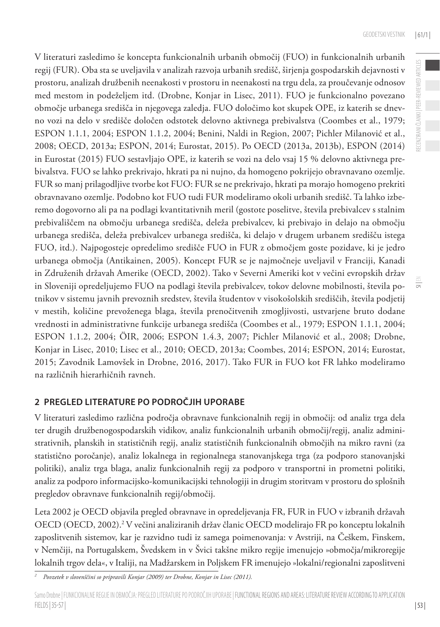$\equiv$ 

V literaturi zasledimo še koncepta funkcionalnih urbanih območij (FUO) in funkcionalnih urbanih regij (FUR). Oba sta se uveljavila v analizah razvoja urbanih središč, širjenja gospodarskih dejavnosti v prostoru, analizah družbenih neenakosti v prostoru in neenakosti na trgu dela, za proučevanje odnosov med mestom in podeželjem itd. (Drobne, Konjar in Lisec, 2011). FUO je funkcionalno povezano območje urbanega središča in njegovega zaledja. FUO določimo kot skupek OPE, iz katerih se dnevno vozi na delo v središče določen odstotek delovno aktivnega prebivalstva (Coombes et al., 1979; ESPON 1.1.1, 2004; ESPON 1.1.2, 2004; Benini, Naldi in Region, 2007; Pichler Milanović et al., 2008; OECD, 2013a; ESPON, 2014; Eurostat, 2015). Po OECD (2013a, 2013b), ESPON (2014) in Eurostat (2015) FUO sestavljajo OPE, iz katerih se vozi na delo vsaj 15 % delovno aktivnega prebivalstva. FUO se lahko prekrivajo, hkrati pa ni nujno, da homogeno pokrijejo obravnavano ozemlje. FUR so manj prilagodljive tvorbe kot FUO: FUR se ne prekrivajo, hkrati pa morajo homogeno prekriti obravnavano ozemlje. Podobno kot FUO tudi FUR modeliramo okoli urbanih središč. Ta lahko izberemo dogovorno ali pa na podlagi kvantitativnih meril (gostote poselitve, števila prebivalcev s stalnim prebivališčem na območju urbanega središča, deleža prebivalcev, ki prebivajo in delajo na območju urbanega središča, deleža prebivalcev urbanega središča, ki delajo v drugem urbanem središču istega FUO, itd.). Najpogosteje opredelimo središče FUO in FUR z območjem goste pozidave, ki je jedro urbanega območja (Antikainen, 2005). Koncept FUR se je najmočneje uveljavil v Franciji, Kanadi in Združenih državah Amerike (OECD, 2002). Tako v Severni Ameriki kot v večini evropskih držav in Sloveniji opredeljujemo FUO na podlagi števila prebivalcev, tokov delovne mobilnosti, števila potnikov v sistemu javnih prevoznih sredstev, števila študentov v visokošolskih središčih, števila podjetij v mestih, količine prevoženega blaga, števila prenočitvenih zmogljivosti, ustvarjene bruto dodane vrednosti in administrativne funkcije urbanega središča (Coombes et al., 1979; ESPON 1.1.1, 2004; ESPON 1.1.2, 2004; ÖIR, 2006; ESPON 1.4.3, 2007; Pichler Milanović et al., 2008; Drobne, Konjar in Lisec, 2010; Lisec et al., 2010; OECD, 2013a; Coombes, 2014; ESPON, 2014; Eurostat, 2015; Zavodnik Lamovšek in Drobne, 2016, 2017). Tako FUR in FUO kot FR lahko modeliramo na različnih hierarhičnih ravneh.

# **2 PREGLED LITERATURE PO PODROČJIH UPORABE**

V literaturi zasledimo različna področja obravnave funkcionalnih regij in območij: od analiz trga dela ter drugih družbenogospodarskih vidikov, analiz funkcionalnih urbanih območij/regij, analiz administrativnih, planskih in statističnih regij, analiz statističnih funkcionalnih območjih na mikro ravni (za statistično poročanje), analiz lokalnega in regionalnega stanovanjskega trga (za podporo stanovanjski politiki), analiz trga blaga, analiz funkcionalnih regij za podporo v transportni in prometni politiki, analiz za podporo informacijsko-komunikacijski tehnologiji in drugim storitvam v prostoru do splošnih pregledov obravnave funkcionalnih regij/območij.

Leta 2002 je OECD objavila pregled obravnave in opredeljevanja FR, FUR in FUO v izbranih državah OECD (OECD, 2002).2 V večini analiziranih držav članic OECD modelirajo FR po konceptu lokalnih zaposlitvenih sistemov, kar je razvidno tudi iz samega poimenovanja: v Avstriji, na Češkem, Finskem, v Nemčiji, na Portugalskem, Švedskem in v Švici takšne mikro regije imenujejo »območja/mikroregije lokalnih trgov dela«, v Italiji, na Madžarskem in Poljskem FR imenujejo »lokalni/regionalni zaposlitveni

*<sup>2</sup> Povzetek v slovenščini so pripravili Konjar (2009) ter Drobne, Konjar in Lisec (2011).*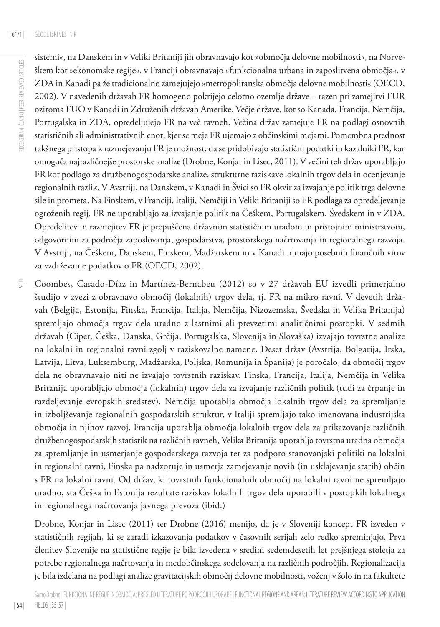| 54 |

sistemi«, na Danskem in v Veliki Britaniji jih obravnavajo kot »območja delovne mobilnosti«, na Norveškem kot »ekonomske regije«, v Franciji obravnavajo »funkcionalna urbana in zaposlitvena območja«, v ZDA in Kanadi pa že tradicionalno zamejujejo »metropolitanska območja delovne mobilnosti« (OECD, 2002). V navedenih državah FR homogeno pokrijejo celotno ozemlje države – razen pri zamejitvi FUR oziroma FUO v Kanadi in Združenih državah Amerike. Večje države, kot so Kanada, Francija, Nemčija, Portugalska in ZDA, opredeljujejo FR na več ravneh. Večina držav zamejuje FR na podlagi osnovnih statističnih ali administrativnih enot, kjer se meje FR ujemajo z občinskimi mejami. Pomembna prednost takšnega pristopa k razmejevanju FR je možnost, da se pridobivajo statistični podatki in kazalniki FR, kar omogoča najrazličnejše prostorske analize (Drobne, Konjar in Lisec, 2011). V večini teh držav uporabljajo FR kot podlago za družbenogospodarske analize, strukturne raziskave lokalnih trgov dela in ocenjevanje regionalnih razlik. V Avstriji, na Danskem, v Kanadi in Švici so FR okvir za izvajanje politik trga delovne sile in prometa. Na Finskem, v Franciji, Italiji, Nemčiji in Veliki Britaniji so FR podlaga za opredeljevanje ogroženih regij. FR ne uporabljajo za izvajanje politik na Češkem, Portugalskem, Švedskem in v ZDA. Opredelitev in razmejitev FR je prepuščena državnim statističnim uradom in pristojnim ministrstvom, odgovornim za področja zaposlovanja, gospodarstva, prostorskega načrtovanja in regionalnega razvoja. V Avstriji, na Češkem, Danskem, Finskem, Madžarskem in v Kanadi nimajo posebnih finančnih virov za vzdrževanje podatkov o FR (OECD, 2002).

 $\equiv$ Coombes, Casado-Díaz in Martínez-Bernabeu (2012) so v 27 državah EU izvedli primerjalno študijo v zvezi z obravnavo območij (lokalnih) trgov dela, tj. FR na mikro ravni. V devetih državah (Belgija, Estonija, Finska, Francija, Italija, Nemčija, Nizozemska, Švedska in Velika Britanija) spremljajo območja trgov dela uradno z lastnimi ali prevzetimi analitičnimi postopki. V sedmih državah (Ciper, Češka, Danska, Grčija, Portugalska, Slovenija in Slovaška) izvajajo tovrstne analize na lokalni in regionalni ravni zgolj v raziskovalne namene. Deset držav (Avstrija, Bolgarija, Irska, Latvija, Litva, Luksemburg, Madžarska, Poljska, Romunija in Španija) je poročalo, da območij trgov dela ne obravnavajo niti ne izvajajo tovrstnih raziskav. Finska, Francija, Italija, Nemčija in Velika Britanija uporabljajo območja (lokalnih) trgov dela za izvajanje različnih politik (tudi za črpanje in razdeljevanje evropskih sredstev). Nemčija uporablja območja lokalnih trgov dela za spremljanje in izboljševanje regionalnih gospodarskih struktur, v Italiji spremljajo tako imenovana industrijska območja in njihov razvoj, Francija uporablja območja lokalnih trgov dela za prikazovanje različnih družbenogospodarskih statistik na različnih ravneh, Velika Britanija uporablja tovrstna uradna območja za spremljanje in usmerjanje gospodarskega razvoja ter za podporo stanovanjski politiki na lokalni in regionalni ravni, Finska pa nadzoruje in usmerja zamejevanje novih (in usklajevanje starih) občin s FR na lokalni ravni. Od držav, ki tovrstnih funkcionalnih območij na lokalni ravni ne spremljajo uradno, sta Češka in Estonija rezultate raziskav lokalnih trgov dela uporabili v postopkih lokalnega in regionalnega načrtovanja javnega prevoza (ibid.)

Drobne, Konjar in Lisec (2011) ter Drobne (2016) menijo, da je v Sloveniji koncept FR izveden v statističnih regijah, ki se zaradi izkazovanja podatkov v časovnih serijah zelo redko spreminjajo. Prva členitev Slovenije na statistične regije je bila izvedena v sredini sedemdesetih let prejšnjega stoletja za potrebe regionalnega načrtovanja in medobčinskega sodelovanja na različnih področjih. Regionalizacija je bila izdelana na podlagi analize gravitacijskih območij delovne mobilnosti, voženj v šolo in na fakultete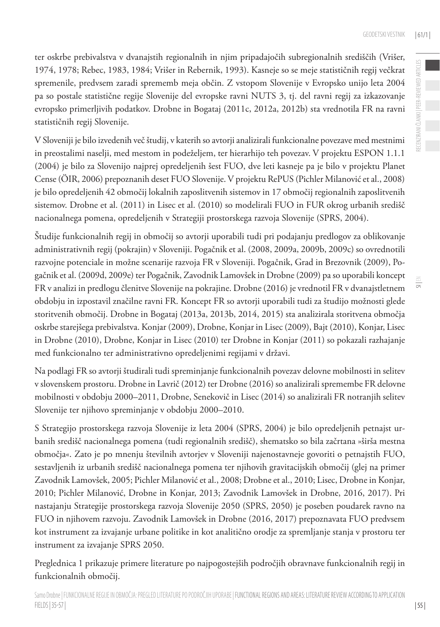RECENZIRANI ČLANKI | PEER-REVIEWED ARTICLES

RECENZIRANI ČLANKI | PEER-REVIEWED ARTICLES

 $\equiv$ 

ter oskrbe prebivalstva v dvanajstih regionalnih in njim pripadajočih subregionalnih središčih (Vrišer, 1974, 1978; Rebec, 1983, 1984; Vrišer in Rebernik, 1993). Kasneje so se meje statističnih regij večkrat spremenile, predvsem zaradi sprememb meja občin. Z vstopom Slovenije v Evropsko unijo leta 2004 pa so postale statistične regije Slovenije del evropske ravni NUTS 3, tj. del ravni regij za izkazovanje evropsko primerljivih podatkov. Drobne in Bogataj (2011c, 2012a, 2012b) sta vrednotila FR na ravni statističnih regij Slovenije.

V Sloveniji je bilo izvedenih več študij, v katerih so avtorji analizirali funkcionalne povezave med mestnimi in preostalimi naselji, med mestom in podeželjem, ter hierarhijo teh povezav. V projektu ESPON 1.1.1 (2004) je bilo za Slovenijo najprej opredeljenih šest FUO, dve leti kasneje pa je bilo v projektu Planet Cense (ÖIR, 2006) prepoznanih deset FUO Slovenije. V projektu RePUS (Pichler Milanović et al., 2008) je bilo opredeljenih 42 območij lokalnih zaposlitvenih sistemov in 17 območij regionalnih zaposlitvenih sistemov. Drobne et al. (2011) in Lisec et al. (2010) so modelirali FUO in FUR okrog urbanih središč nacionalnega pomena, opredeljenih v Strategiji prostorskega razvoja Slovenije (SPRS, 2004).

Študije funkcionalnih regij in območij so avtorji uporabili tudi pri podajanju predlogov za oblikovanje administrativnih regij (pokrajin) v Sloveniji. Pogačnik et al. (2008, 2009a, 2009b, 2009c) so ovrednotili razvojne potenciale in možne scenarije razvoja FR v Sloveniji. Pogačnik, Grad in Brezovnik (2009), Pogačnik et al. (2009d, 2009e) ter Pogačnik, Zavodnik Lamovšek in Drobne (2009) pa so uporabili koncept FR v analizi in predlogu členitve Slovenije na pokrajine. Drobne (2016) je vrednotil FR v dvanajstletnem obdobju in izpostavil značilne ravni FR. Koncept FR so avtorji uporabili tudi za študijo možnosti glede storitvenih območij. Drobne in Bogataj (2013a, 2013b, 2014, 2015) sta analizirala storitvena območja oskrbe starejšega prebivalstva. Konjar (2009), Drobne, Konjar in Lisec (2009), Bajt (2010), Konjar, Lisec in Drobne (2010), Drobne, Konjar in Lisec (2010) ter Drobne in Konjar (2011) so pokazali razhajanje med funkcionalno ter administrativno opredeljenimi regijami v državi.

Na podlagi FR so avtorji študirali tudi spreminjanje funkcionalnih povezav delovne mobilnosti in selitev v slovenskem prostoru. Drobne in Lavrič (2012) ter Drobne (2016) so analizirali spremembe FR delovne mobilnosti v obdobju 2000–2011, Drobne, Senekovič in Lisec (2014) so analizirali FR notranjih selitev Slovenije ter njihovo spreminjanje v obdobju 2000–2010.

S Strategijo prostorskega razvoja Slovenije iz leta 2004 (SPRS, 2004) je bilo opredeljenih petnajst urbanih središč nacionalnega pomena (tudi regionalnih središč), shematsko so bila začrtana »širša mestna območja«. Zato je po mnenju številnih avtorjev v Sloveniji najenostavneje govoriti o petnajstih FUO, sestavljenih iz urbanih središč nacionalnega pomena ter njihovih gravitacijskih območij (glej na primer Zavodnik Lamovšek, 2005; Pichler Milanović et al., 2008; Drobne et al., 2010; Lisec, Drobne in Konjar, 2010; Pichler Milanović, Drobne in Konjar, 2013; Zavodnik Lamovšek in Drobne, 2016, 2017). Pri nastajanju Strategije prostorskega razvoja Slovenije 2050 (SPRS, 2050) je poseben poudarek ravno na FUO in njihovem razvoju. Zavodnik Lamovšek in Drobne (2016, 2017) prepoznavata FUO predvsem kot instrument za izvajanje urbane politike in kot analitično orodje za spremljanje stanja v prostoru ter instrument za izvajanje SPRS 2050.

Preglednica 1 prikazuje primere literature po najpogostejših področjih obravnave funkcionalnih regij in funkcionalnih območij.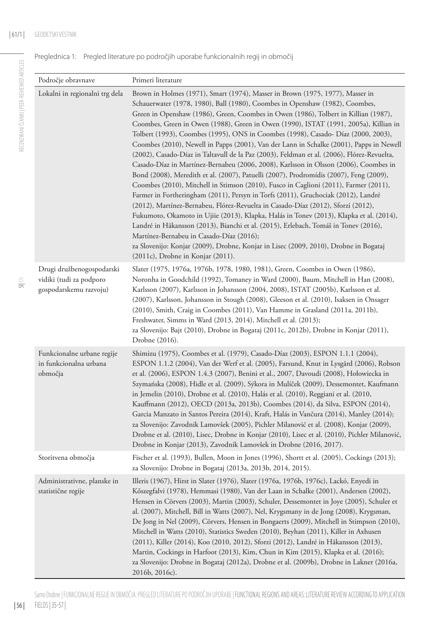Preglednica 1: Pregled literature po področjih uporabe funkcionalnih regij in območij

| Področje obravnave                                                             | Primeri literature                                                                                                                                                                                                                                                                                                                                                                                                                                                                                                                                                                                                                                                                                                                                                                                                                                                                                                                                                                                                                                                                                                                                                                                                                                                                                                                                                                                                                             |
|--------------------------------------------------------------------------------|------------------------------------------------------------------------------------------------------------------------------------------------------------------------------------------------------------------------------------------------------------------------------------------------------------------------------------------------------------------------------------------------------------------------------------------------------------------------------------------------------------------------------------------------------------------------------------------------------------------------------------------------------------------------------------------------------------------------------------------------------------------------------------------------------------------------------------------------------------------------------------------------------------------------------------------------------------------------------------------------------------------------------------------------------------------------------------------------------------------------------------------------------------------------------------------------------------------------------------------------------------------------------------------------------------------------------------------------------------------------------------------------------------------------------------------------|
| Lokalni in regionalni trg dela                                                 | Brown in Holmes (1971), Smart (1974), Masser in Brown (1975, 1977), Masser in<br>Schauerwater (1978, 1980), Ball (1980), Coombes in Openshaw (1982), Coombes,<br>Green in Openshaw (1986), Green, Coombes in Owen (1986), Tolbert in Killian (1987),<br>Coombes, Green in Owen (1988), Green in Owen (1990), ISTAT (1991, 2005a), Killian in<br>Tolbert (1993), Coombes (1995), ONS in Coombes (1998), Casado- Díaz (2000, 2003),<br>Coombes (2010), Newell in Papps (2001), Van der Lann in Schalke (2001), Papps in Newell<br>(2002), Casado-Díaz in Taltavull de la Paz (2003), Feldman et al. (2006), Flórez-Revuelta,<br>Casado-Díaz in Martínez-Bernabeu (2006, 2008), Karlsson in Olsson (2006), Coombes in<br>Bond (2008), Meredith et al. (2007), Patuelli (2007), Prodromídis (2007), Feng (2009),<br>Coombes (2010), Mitchell in Stimson (2010), Fusco in Caglioni (2011), Farmer (2011),<br>Farmer in Fortheringham (2011), Persyn in Torfs (2011), Gruchociak (2012), Landré<br>(2012), Martínez-Bernabeu, Flórez-Revuelta in Casado-Díaz (2012), Sforzi (2012),<br>Fukumoto, Okamoto in Ujiie (2013), Klapka, Halás in Tonev (2013), Klapka et al. (2014),<br>Landré in Håkansson (2013), Bianchi et al. (2015), Erlebach, Tomáš in Tonev (2016),<br>Martínez-Bernabeu in Casado-Díaz (2016);<br>za Slovenijo: Konjar (2009), Drobne, Konjar in Lisec (2009, 2010), Drobne in Bogataj<br>$(2011c)$ , Drobne in Konjar $(2011)$ . |
| Drugi družbenogospodarski<br>vidiki (tudi za podporo<br>gospodarskemu razvoju) | Slater (1975, 1976a, 1976b, 1978, 1980, 1981), Green, Coombes in Owen (1986),<br>Noronha in Goodchild (1992), Tomaney in Ward (2000), Baum, Mitchell in Han (2008),<br>Karlsson (2007), Karlsson in Johansson (2004, 2008), ISTAT (2005b), Karlsson et al.<br>(2007), Karlsson, Johansson in Stough (2008), Gleeson et al. (2010), Isaksen in Onsager<br>(2010), Smith, Craig in Coombes (2011), Van Hamme in Grasland (2011a, 2011b),<br>Freshwater, Simms in Ward (2013, 2014), Mitchell et al. (2013);<br>za Slovenijo: Bajt (2010), Drobne in Bogataj (2011c, 2012b), Drobne in Konjar (2011),<br>Drobne (2016).                                                                                                                                                                                                                                                                                                                                                                                                                                                                                                                                                                                                                                                                                                                                                                                                                           |
| Funkcionalne urbane regije<br>in funkcionalna urbana<br>območja                | Shimizu (1975), Coombes et al. (1979), Casado-Díaz (2003), ESPON 1.1.1 (2004),<br>ESPON 1.1.2 (2004), Van der Werf et al. (2005), Farsund, Knut in Lysgård (2006), Robson<br>et al. (2006), ESPON 1.4.3 (2007), Benini et al., 2007, Davoudi (2008), Hołowiecka in<br>Szymańska (2008), Hidle et al. (2009), Sýkora in Mulíček (2009), Dessemontet, Kaufmann<br>in Jemelin (2010), Drobne et al. (2010), Halás et al. (2010), Reggiani et al. (2010,<br>Kauffmann (2012), OECD (2013a, 2013b), Coombes (2014), da Silva, ESPON (2014),<br>Garcia Manzato in Santos Pereira (2014), Kraft, Halás in Vančura (2014), Manley (2014);<br>za Slovenijo: Zavodnik Lamovšek (2005), Pichler Milanović et al. (2008), Konjar (2009),<br>Drobne et al. (2010), Lisec, Drobne in Konjar (2010), Lisec et al. (2010), Pichler Milanović,<br>Drobne in Konjar (2013), Zavodnik Lamovšek in Drobne (2016, 2017).                                                                                                                                                                                                                                                                                                                                                                                                                                                                                                                                            |
| Storitvena območja                                                             | Fischer et al. (1993), Bullen, Moon in Jones (1996), Shortt et al. (2005), Cockings (2013);<br>za Slovenijo: Drobne in Bogataj (2013a, 2013b, 2014, 2015).                                                                                                                                                                                                                                                                                                                                                                                                                                                                                                                                                                                                                                                                                                                                                                                                                                                                                                                                                                                                                                                                                                                                                                                                                                                                                     |
| Administrativne, planske in<br>statistične regije                              | Illeris (1967), Hirst in Slater (1976), Slater (1976a, 1976b, 1976c), Lackó, Enyedi in<br>Kőszegfalvi (1978), Hemmasi (1980), Van der Laan in Schalke (2001), Andersen (2002),<br>Hensen in Cörvers (2003), Martin (2003), Schuler, Dessemontet in Joye (2005), Schuler et<br>al. (2007), Mitchell, Bill in Watts (2007), Nel, Krygsmany in de Jong (2008), Krygsman,<br>De Jong in Nel (2009), Cörvers, Hensen in Bongaerts (2009), Mitchell in Stimpson (2010),<br>Mitchell in Watts (2010), Statistics Sweden (2010), Beyhan (2011), Killer in Axhusen<br>(2011), Killer (2014), Koo (2010, 2012), Sforzi (2012), Landré in Håkansson (2013),<br>Martin, Cockings in Harfoot (2013), Kim, Chun in Kim (2015), Klapka et al. (2016);<br>za Slovenijo: Drobne in Bogataj (2012a), Drobne et al. (2009b), Drobne in Lakner (2016a,<br>2016b, 2016c).                                                                                                                                                                                                                                                                                                                                                                                                                                                                                                                                                                                           |